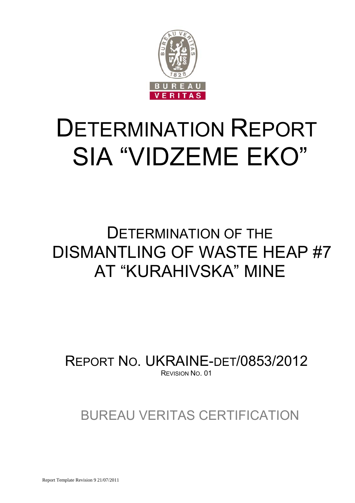

# DETERMINATION REPORT SIA "VIDZEME EKO"

## DETERMINATION OF THE DISMANTLING OF WASTE HEAP #7 AT "KURAHIVSKA" MINE

REPORT NO. UKRAINE-DET/0853/2012 REVISION NO. 01

BUREAU VERITAS CERTIFICATION

Report Template Revision 9 21/07/2011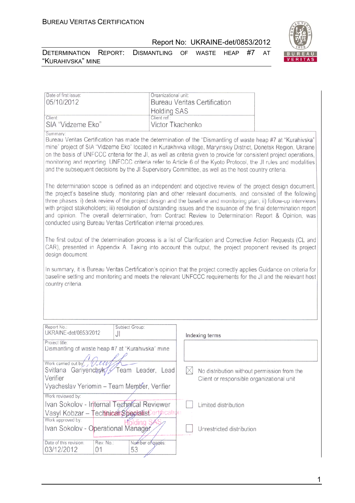

DETERMINATION REPORT: DISMANTLING OF WASTE HEAP #7 AT "KURAHIVSKA" MINE



| Date of first issue:<br>05/10/2012 | Organizational unit:<br><b>Bureau Veritas Certification</b> |
|------------------------------------|-------------------------------------------------------------|
|                                    | <b>Holding SAS</b>                                          |
| Client:                            | Client ref:                                                 |
| SIA "Vidzeme Eko"                  | Victor Tkachenko                                            |

Summary

Bureau Veritas Certification has made the determination of the "Dismantling of waste heap #7 at "Kurahivska" mine" project of SIA "Vidzeme Eko" located in Kurakhivka village, Maryinskiy District, Donetsk Region, Ukraine on the basis of UNFCCC criteria for the JI, as well as criteria given to provide for consistent project operations. monitoring and reporting. UNFCCC criteria refer to Article 6 of the Kyoto Protocol, the JI rules and modalities and the subsequent decisions by the JI Supervisory Committee, as well as the host country criteria.

The determination scope is defined as an independent and objective review of the project design document. the project's baseline study, monitoring plan and other relevant documents, and consisted of the following three phases: i) desk review of the project design and the baseline and monitoring plan; ii) follow-up interviews with project stakeholders; iii) resolution of outstanding issues and the issuance of the final determination report and opinion. The overall determination, from Contract Review to Determination Report & Opinion, was conducted using Bureau Veritas Certification internal procedures.

The first output of the determination process is a list of Clarification and Corrective Action Requests (CL and CAR), presented in Appendix A. Taking into account this output, the project proponent revised its project design document.

In summary, it is Bureau Veritas Certification's opinion that the project correctly applies Guidance on criteria for baseline setting and monitoring and meets the relevant UNFCCC requirements for the JI and the relevant host country criteria.

| Report No.:<br>UKRAINE-det/0853/2012              | Subject Group:<br>J١           | Indexing terms                              |
|---------------------------------------------------|--------------------------------|---------------------------------------------|
| Project title:                                    |                                |                                             |
| Dismantling of waste heap #7 at "Kurahivska" mine |                                |                                             |
|                                                   |                                |                                             |
| Work carried out by: $\sqrt{U}\mathcal{U}\psi$    |                                |                                             |
| Svitlana                                          | Gariyenchyk/ Team Leader, Lead | No distribution without permission from the |
| Verifier                                          |                                | Client or responsible organizational unit   |
| Vyacheslav Yeriomin - Team Member, Verifier       |                                |                                             |
| Work reviewed by:                                 |                                |                                             |
| Ivan Sokolov - Internal Technical Reviewer        |                                | Limited distribution                        |
| Vasyl Kobzar – Technical SpecialisCertification   |                                |                                             |
| Work approved by:                                 |                                |                                             |
| Ivan Sokolov - Operational Manager                |                                | Unrestricted distribution                   |
|                                                   |                                |                                             |
| Date of this revision:<br>Rev. No.:               | Number of pages:               |                                             |
| 03/12/2012<br>01                                  | 53                             |                                             |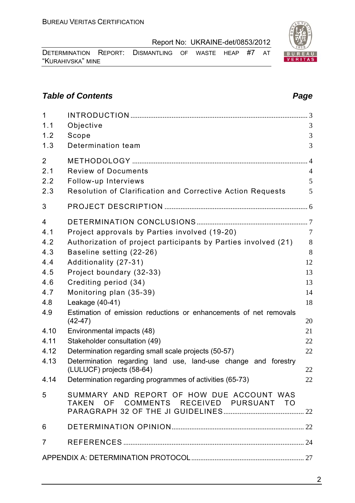2

Report No: UKRAINE-det/0853/2012

DETERMINATION REPORT: DISMANTLING OF WASTE HEAP #7 AT "KURAHIVSKA" MINE

#### **Table of Contents** *Page Page Page Page Page Page Page Page Page Page Page Page Page Page Page Page Page Page Page Page Page Page Page Page Page Page Page Page Page*

| $\mathbf{1}$<br>1.1<br>1.2<br>1.3                                                                        | Objective<br>Scope<br>Determination team                                                                                                                                                                                                                                                                                                                                                                                                                                                                                                                                                                                                    | 3<br>3<br>3                                                                                |
|----------------------------------------------------------------------------------------------------------|---------------------------------------------------------------------------------------------------------------------------------------------------------------------------------------------------------------------------------------------------------------------------------------------------------------------------------------------------------------------------------------------------------------------------------------------------------------------------------------------------------------------------------------------------------------------------------------------------------------------------------------------|--------------------------------------------------------------------------------------------|
| $\overline{2}$<br>2.1<br>2.2<br>2.3                                                                      | <b>Review of Documents</b><br>Follow-up Interviews<br>Resolution of Clarification and Corrective Action Requests                                                                                                                                                                                                                                                                                                                                                                                                                                                                                                                            | $\overline{4}$<br>5<br>5                                                                   |
| 3                                                                                                        |                                                                                                                                                                                                                                                                                                                                                                                                                                                                                                                                                                                                                                             |                                                                                            |
| 4<br>4.1<br>4.2<br>4.3<br>4.4<br>4.5<br>4.6<br>4.7<br>4.8<br>4.9<br>4.10<br>4.11<br>4.12<br>4.13<br>4.14 | Project approvals by Parties involved (19-20)<br>Authorization of project participants by Parties involved (21)<br>Baseline setting (22-26)<br>Additionality (27-31)<br>Project boundary (32-33)<br>Crediting period (34)<br>Monitoring plan (35-39)<br>Leakage (40-41)<br>Estimation of emission reductions or enhancements of net removals<br>$(42-47)$<br>Environmental impacts (48)<br>Stakeholder consultation (49)<br>Determination regarding small scale projects (50-57)<br>Determination regarding land use, land-use change and forestry<br>(LULUCF) projects (58-64)<br>Determination regarding programmes of activities (65-73) | $\overline{7}$<br>8<br>8<br>12<br>13<br>13<br>14<br>18<br>20<br>21<br>22<br>22<br>22<br>22 |
| 5                                                                                                        | SUMMARY AND REPORT OF HOW DUE ACCOUNT WAS<br>TAKEN OF COMMENTS RECEIVED PURSUANT TO                                                                                                                                                                                                                                                                                                                                                                                                                                                                                                                                                         |                                                                                            |
| 6                                                                                                        |                                                                                                                                                                                                                                                                                                                                                                                                                                                                                                                                                                                                                                             |                                                                                            |
| 7                                                                                                        |                                                                                                                                                                                                                                                                                                                                                                                                                                                                                                                                                                                                                                             |                                                                                            |
|                                                                                                          |                                                                                                                                                                                                                                                                                                                                                                                                                                                                                                                                                                                                                                             |                                                                                            |
|                                                                                                          |                                                                                                                                                                                                                                                                                                                                                                                                                                                                                                                                                                                                                                             |                                                                                            |

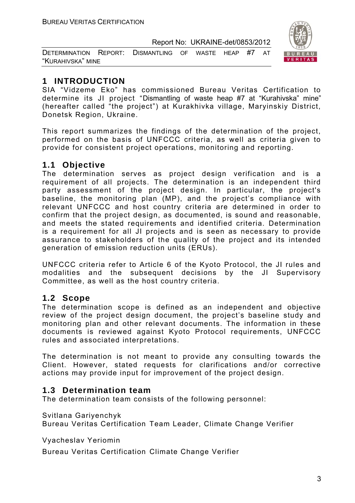| DETERMINATION REPORT: DISMANTLING OF WASTE HEAP #7 AT |  |  |  |  |
|-------------------------------------------------------|--|--|--|--|
| "KURAHIVSKA" MINE                                     |  |  |  |  |



#### **1 INTRODUCTION**

SIA "Vidzeme Eko" has commissioned Bureau Veritas Certification to determine its JI project "Dismantling of waste heap #7 at "Kurahivska" mine" (hereafter called "the project") at Kurakhivka village, Maryinskiy District, Donetsk Region, Ukraine.

This report summarizes the findings of the determination of the project, performed on the basis of UNFCCC criteria, as well as criteria given to provide for consistent project operations, monitoring and reporting.

#### **1.1 Objective**

The determination serves as project design verification and is a requirement of all projects. The determination is an independent third party assessment of the project design. In particular, the project's baseline, the monitoring plan (MP), and the project's compliance with relevant UNFCCC and host country criteria are determined in order to confirm that the project design, as documented, is sound and reasonable, and meets the stated requirements and identified criteria. Determination is a requirement for all JI projects and is seen as necessary to provide assurance to stakeholders of the quality of the project and its intended generation of emission reduction units (ERUs).

UNFCCC criteria refer to Article 6 of the Kyoto Protocol, the JI rules and modalities and the subsequent decisions by the JI Supervisory Committee, as well as the host country criteria.

#### **1.2 Scope**

The determination scope is defined as an independent and objective review of the project design document, the project's baseline study and monitoring plan and other relevant documents. The information in these documents is reviewed against Kyoto Protocol requirements, UNFCCC rules and associated interpretations.

The determination is not meant to provide any consulting towards the Client. However, stated requests for clarifications and/or corrective actions may provide input for improvement of the project design.

#### **1.3 Determination team**

The determination team consists of the following personnel:

Svitlana Gariyenchyk

Bureau Veritas Certification Team Leader, Climate Change Verifier

Vyacheslav Yeriomin

Bureau Veritas Certification Climate Change Verifier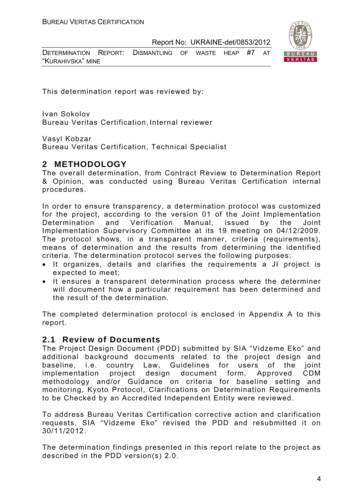DETERMINATION REPORT: DISMANTLING OF WASTE HEAP #7 AT "KURAHIVSKA" MINE



This determination report was reviewed by:

Ivan Sokolov Bureau Veritas Certification, Internal reviewer

Vasyl Kobzar

Bureau Veritas Certification, Technical Specialist

#### **2 METHODOLOGY**

The overall determination, from Contract Review to Determination Report & Opinion, was conducted using Bureau Veritas Certification internal procedures.

In order to ensure transparency, a determination protocol was customized for the project, according to the version 01 of the Joint Implementation Determination and Verification Manual, issued by the Joint Implementation Supervisory Committee at its 19 meeting on 04/12/2009. The protocol shows, in a transparent manner, criteria (requirements), means of determination and the results from determining the identified criteria. The determination protocol serves the following purposes:

- It organizes, details and clarifies the requirements a JI project is expected to meet;
- It ensures a transparent determination process where the determiner will document how a particular requirement has been determined and the result of the determination.

The completed determination protocol is enclosed in Appendix A to this report.

#### **2.1 Review of Documents**

The Project Design Document (PDD) submitted by SIA "Vidzeme Eko" and additional background documents related to the project design and baseline, i.e. country Law, Guidelines for users of the joint implementation project design document form, Approved CDM methodology and/or Guidance on criteria for baseline setting and monitoring, Kyoto Protocol, Clarifications on Determination Requirements to be Checked by an Accredited Independent Entity were reviewed.

To address Bureau Veritas Certification corrective action and clarification requests, SIA "Vidzeme Eko" revised the PDD and resubmitted it on 30/11/2012.

The determination findings presented in this report relate to the project as described in the PDD version(s) 2.0.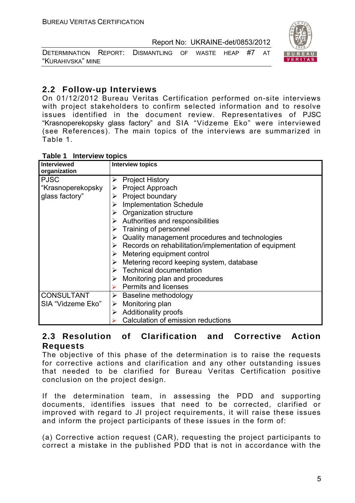

| DETERMINATION REPORT: DISMANTLING OF WASTE HEAP #7 AT |  |  |  |  |
|-------------------------------------------------------|--|--|--|--|
| "KURAHIVSKA" MINE                                     |  |  |  |  |

#### **2.2 Follow-up Interviews**

On 01/12/2012 Bureau Veritas Certification performed on-site interviews with project stakeholders to confirm selected information and to resolve issues identified in the document review. Representatives of PJSC "Krasnoperekopsky glass factory" and SIA "Vidzeme Eko" were interviewed (see References). The main topics of the interviews are summarized in Table 1.

| <b>Table 1 Interview topics</b>                    |                                                                                                                                                                                                                                                                                                                                                                                                                                                                                                                                                                  |
|----------------------------------------------------|------------------------------------------------------------------------------------------------------------------------------------------------------------------------------------------------------------------------------------------------------------------------------------------------------------------------------------------------------------------------------------------------------------------------------------------------------------------------------------------------------------------------------------------------------------------|
| <b>Interviewed</b><br>organization                 | <b>Interview topics</b>                                                                                                                                                                                                                                                                                                                                                                                                                                                                                                                                          |
| <b>PJSC</b><br>"Krasnoperekopsky<br>glass factory" | <b>Project History</b><br>➤<br>$\triangleright$ Project Approach<br>Project boundary<br><b>Implementation Schedule</b><br>Organization structure<br>$\triangleright$ Authorities and responsibilities<br>$\triangleright$ Training of personnel<br>Quality management procedures and technologies<br>➤<br>$\triangleright$ Records on rehabilitation/implementation of equipment<br>Metering equipment control<br>Metering record keeping system, database<br>$\triangleright$ Technical documentation<br>Monitoring plan and procedures<br>Permits and licenses |
| <b>CONSULTANT</b><br>SIA "Vidzeme Eko"             | Baseline methodology<br>➤<br>Monitoring plan<br>➤<br><b>Additionality proofs</b>                                                                                                                                                                                                                                                                                                                                                                                                                                                                                 |

#### **Table 1 Interview topics**

#### **2.3 Resolution of Clarification and Corrective Action Requests**

Calculation of emission reductions

The objective of this phase of the determination is to raise the requests for corrective actions and clarification and any other outstanding issues that needed to be clarified for Bureau Veritas Certification positive conclusion on the project design.

If the determination team, in assessing the PDD and supporting documents, identifies issues that need to be corrected, clarified or improved with regard to JI project requirements, it will raise these issues and inform the project participants of these issues in the form of:

(a) Corrective action request (CAR), requesting the project participants to correct a mistake in the published PDD that is not in accordance with the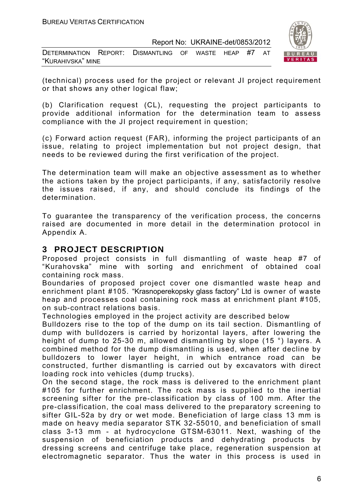| DETERMINATION REPORT: DISMANTLING OF WASTE HEAP #7 AT |  |  |  |  |
|-------------------------------------------------------|--|--|--|--|
| "KURAHIVSKA" MINE                                     |  |  |  |  |



(technical) process used for the project or relevant JI project requirement or that shows any other logical flaw;

(b) Clarification request (CL), requesting the project participants to provide additional information for the determination team to assess compliance with the JI project requirement in question;

(c) Forward action request (FAR), informing the project participants of an issue, relating to project implementation but not project design, that needs to be reviewed during the first verification of the project.

The determination team will make an objective assessment as to whether the actions taken by the project participants, if any, satisfactorily resolve the issues raised, if any, and should conclude its findings of the determination.

To guarantee the transparency of the verification process, the concerns raised are documented in more detail in the determination protocol in Appendix A.

#### **3 PROJECT DESCRIPTION**

Proposed project consists in full dismantling of waste heap #7 of "Kurahovska" mine with sorting and enrichment of obtained coal containing rock mass.

Boundaries of proposed project cover one dismantled waste heap and enrichment plant #105. "Krasnoperekopsky glass factory" Ltd is owner of waste heap and processes coal containing rock mass at enrichment plant #105, on sub-contract relations basis.

Technologies employed in the project activity are described below

Bulldozers rise to the top of the dump on its tail section. Dismantling of dump with bulldozers is carried by horizontal layers, after lowering the height of dump to 25-30 m, allowed dismantling by slope (15 °) layers. A combined method for the dump dismantling is used, when after decline by bulldozers to lower layer height, in which entrance road can be constructed, further dismantling is carried out by excavators with direct loading rock into vehicles (dump trucks).

On the second stage, the rock mass is delivered to the enrichment plant #105 for further enrichment. The rock mass is supplied to the inertial screening sifter for the pre-classification by class of 100 mm. After the pre-classification, the coal mass delivered to the preparatory screening to sifter GIL-52a by dry or wet mode. Beneficiation of large class 13 mm is made on heavy media separator STK 32-55010, and beneficiation of small class 3-13 mm - at hydrocyclone GTSM-63011. Next, washing of the suspension of beneficiation products and dehydrating products by dressing screens and centrifuge take place, regeneration suspension at electromagnetic separator. Thus the water in this process is used in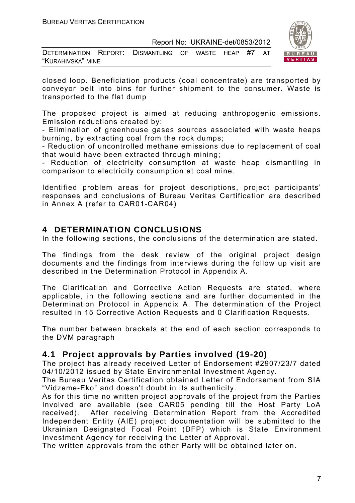| DETERMINATION REPORT: DISMANTLING OF WASTE HEAP #7 AT |  |  |  |  |
|-------------------------------------------------------|--|--|--|--|
| "KURAHIVSKA" MINE                                     |  |  |  |  |



closed loop. Beneficiation products (coal concentrate) are transported by conveyor belt into bins for further shipment to the consumer. Waste is transported to the flat dump

The proposed project is aimed at reducing anthropogenic emissions. Emission reductions created by:

- Elimination of greenhouse gases sources associated with waste heaps burning, by extracting coal from the rock dumps;

- Reduction of uncontrolled methane emissions due to replacement of coal that would have been extracted through mining;

- Reduction of electricity consumption at waste heap dismantling in comparison to electricity consumption at coal mine.

Identified problem areas for project descriptions, project participants' responses and conclusions of Bureau Veritas Certification are described in Annex A (refer to CAR01-CAR04)

#### **4 DETERMINATION CONCLUSIONS**

In the following sections, the conclusions of the determination are stated.

The findings from the desk review of the original project design documents and the findings from interviews during the follow up visit are described in the Determination Protocol in Appendix A.

The Clarification and Corrective Action Requests are stated, where applicable, in the following sections and are further documented in the Determination Protocol in Appendix A. The determination of the Project resulted in 15 Corrective Action Requests and 0 Clarification Requests.

The number between brackets at the end of each section corresponds to the DVM paragraph

#### **4.1 Project approvals by Parties involved (19-20)**

The project has already received Letter of Endorsement #2907/23/7 dated 04/10/2012 issued by State Environmental Investment Agency.

The Bureau Veritas Certification obtained Letter of Endorsement from SIA "Vidzeme-Eko" and doesn't doubt in its authenticity.

As for this time no written project approvals of the project from the Parties Involved are available (see CAR05 pending till the Host Party LoA received). After receiving Determination Report from the Accredited Independent Entity (AIE) project documentation will be submitted to the Ukrainian Designated Focal Point (DFP) which is State Environment Investment Agency for receiving the Letter of Approval.

The written approvals from the other Party will be obtained later on.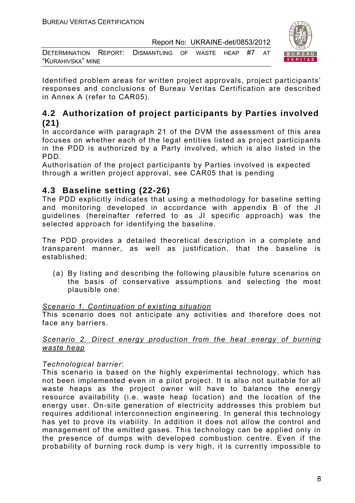



Identified problem areas for written project approvals, project participants' responses and conclusions of Bureau Veritas Certification are described in Annex A (refer to CAR05).

#### **4.2 Authorization of project participants by Parties involved (21)**

In accordance with paragraph 21 of the DVM the assessment of this area focuses on whether each of the legal entities listed as project participants in the PDD is authorized by a Party involved, which is also listed in the PDD.

Authorisation of the project participants by Parties involved is expected through a written project approval, see CAR05 that is pending

#### **4.3 Baseline setting (22-26)**

The PDD explicitly indicates that using a methodology for baseline setting and monitoring developed in accordance with appendix B of the JI guidelines (hereinafter referred to as JI specific approach) was the selected approach for identifying the baseline.

The PDD provides a detailed theoretical description in a complete and transparent manner, as well as justification, that the baseline is established:

(a) By listing and describing the following plausible future scenarios on the basis of conservative assumptions and selecting the most plausible one:

#### *Scenario 1. Continuation of existing situation*

This scenario does not anticipate any activities and therefore does not face any barriers.

#### *Scenario 2. Direct energy production from the heat energy of burning waste heap*

#### *Technological barrier*:

This scenario is based on the highly experimental technology, which has not been implemented even in a pilot project. It is also not suitable for all waste heaps as the project owner will have to balance the energy resource availability (i.e. waste heap location) and the location of the energy user. On-site generation of electricity addresses this problem but requires additional interconnection engineering. In general this technology has yet to prove its viability. In addition it does not allow the control and management of the emitted gases. This technology can be applied only in the presence of dumps with developed combustion centre. Even if the probability of burning rock dump is very high, it is currently impossible to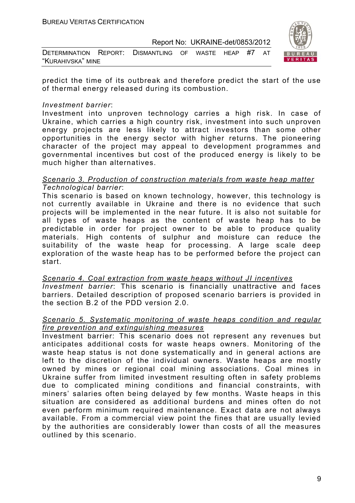| DETERMINATION REPORT: DISMANTLING OF WASTE HEAP #7 AT |  |  |  |  |
|-------------------------------------------------------|--|--|--|--|
| "KURAHIVSKA" MINE                                     |  |  |  |  |



predict the time of its outbreak and therefore predict the start of the use of thermal energy released during its combustion.

#### *Investment barrier*:

Investment into unproven technology carries a high risk. In case of Ukraine, which carries a high country risk, investment into such unproven energy projects are less likely to attract investors than some other opportunities in the energy sector with higher returns. The pioneering character of the project may appeal to development programmes and governmental incentives but cost of the produced energy is likely to be much higher than alternatives.

#### *Scenario 3. Production of construction materials from waste heap matter Technological barrier*:

This scenario is based on known technology, however, this technology is not currently available in Ukraine and there is no evidence that such projects will be implemented in the near future. It is also not suitable for all types of waste heaps as the content of waste heap has to be predictable in order for project owner to be able to produce quality materials. High contents of sulphur and moisture can reduce the suitability of the waste heap for processing. A large scale deep exploration of the waste heap has to be performed before the project can start.

*Scenario 4. Coal extraction from waste heaps without JI incentives Investment barrier*: This scenario is financially unattractive and faces barriers. Detailed description of proposed scenario barriers is provided in the section B.2 of the PDD version 2.0.

#### *Scenario 5. Systematic monitoring of waste heaps condition and regular fire prevention and extinguishing measures*

Investment barrier: This scenario does not represent any revenues but anticipates additional costs for waste heaps owners. Monitoring of the waste heap status is not done systematically and in general actions are left to the discretion of the individual owners. Waste heaps are mostly owned by mines or regional coal mining associations. Coal mines in Ukraine suffer from limited investment resulting often in safety problems due to complicated mining conditions and financial constraints, with miners' salaries often being delayed by few months. Waste heaps in this situation are considered as additional burdens and mines often do not even perform minimum required maintenance. Exact data are not always available. From a commercial view point the fines that are usually levied by the authorities are considerably lower than costs of all the measures outlined by this scenario.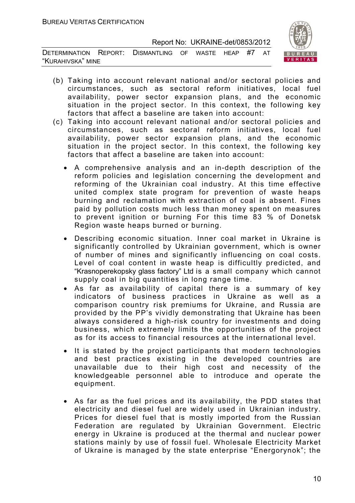DETERMINATION REPORT: DISMANTLING OF WASTE HEAP #7 AT "KURAHIVSKA" MINE



- (b) Taking into account relevant national and/or sectoral policies and circumstances, such as sectoral reform initiatives, local fuel availability, power sector expansion plans, and the economic situation in the project sector. In this context, the following key factors that affect a baseline are taken into account:
- (c) Taking into account relevant national and/or sectoral policies and circumstances, such as sectoral reform initiatives, local fuel availability, power sector expansion plans, and the economic situation in the project sector. In this context, the following key factors that affect a baseline are taken into account:
	- A comprehensive analysis and an in-depth description of the reform policies and legislation concerning the development and reforming of the Ukrainian coal industry. At this time effective united complex state program for prevention of waste heaps burning and reclamation with extraction of coal is absent. Fines paid by pollution costs much less than money spent on measures to prevent ignition or burning For this time 83 % of Donetsk Region waste heaps burned or burning.
	- Describing economic situation. Inner coal market in Ukraine is significantly controlled by Ukrainian government, which is owner of number of mines and significantly influencing on coal costs. Level of coal content in waste heap is difficultly predicted, and "Krasnoperekopsky glass factory" Ltd is a small company which cannot supply coal in big quantities in long range time.
	- As far as availability of capital there is a summary of key indicators of business practices in Ukraine as well as a comparison country risk premiums for Ukraine, and Russia are provided by the PP's vividly demonstrating that Ukraine has been always considered a high-risk country for investments and doing business, which extremely limits the opportunities of the project as for its access to financial resources at the international level.
	- It is stated by the project participants that modern technologies and best practices existing in the developed countries are unavailable due to their high cost and necessity of the knowledgeable personnel able to introduce and operate the equipment.
	- As far as the fuel prices and its availability, the PDD states that electricity and diesel fuel are widely used in Ukrainian industry. Prices for diesel fuel that is mostly imported from the Russian Federation are regulated by Ukrainian Government. Electric energy in Ukraine is produced at the thermal and nuclear power stations mainly by use of fossil fuel. Wholesale Electricity Market of Ukraine is managed by the state enterprise "Energorynok"; the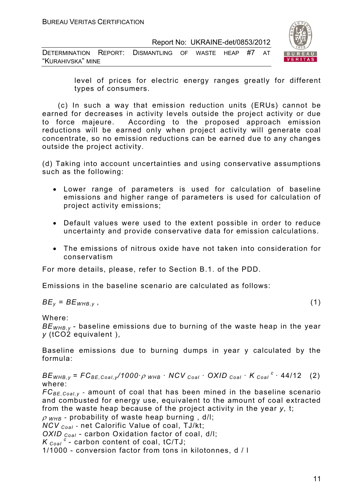| DETERMINATION REPORT: DISMANTLING OF WASTE HEAP #7 AT |  |  |  |  |
|-------------------------------------------------------|--|--|--|--|
| "KURAHIVSKA" MINE                                     |  |  |  |  |



level of prices for electric energy ranges greatly for different types of consumers.

 (c) In such a way that emission reduction units (ERUs) cannot be earned for decreases in activity levels outside the project activity or due to force majeure. According to the proposed approach emission reductions will be earned only when project activity will generate coal concentrate, so no emission reductions can be earned due to any changes outside the project activity.

(d) Taking into account uncertainties and using conservative assumptions such as the following:

- Lower range of parameters is used for calculation of baseline emissions and higher range of parameters is used for calculation of project activity emissions;
- Default values were used to the extent possible in order to reduce uncertainty and provide conservative data for emission calculations.
- The emissions of nitrous oxide have not taken into consideration for conservatism

For more details, please, refer to Section B.1. of the PDD.

Emissions in the baseline scenario are calculated as follows:

$$
BE_y = BE_{WHB,y} \t\t(1)
$$

Where:

*BEWHB,y -* baseline emissions due to burning of the waste heap in the year *y* (tCO2 equivalent ),

Baseline emissions due to burning dumps in year y calculated by the formula:

 $BE_{WHB,V}$  =  $FC_{BE,Coal,V}$  /1000 ·  $\rho$  whb · NCV  $_{Coal}$  · OXID  $_{Coal}$  · K  $_{Coal}$  <sup>c</sup> · 44/12 (2) where:

*FCBE,Coal,y* - amount of coal that has been mined in the baseline scenario and combusted for energy use, equivalent to the amount of coal extracted from the waste heap because of the project activity in the year *y,* t;

<sup>ρ</sup> *WHB* - probability of waste heap burning , d/l;

*NCV Coal* - net Calorific Value of coal, TJ/kt;

*OXID Coal* - carbon Oxidation factor of coal, d/l;

 $K_{Coal}^c$  - carbon content of coal, tC/TJ;

1/1000 - conversion factor from tons in kilotonnes, d / l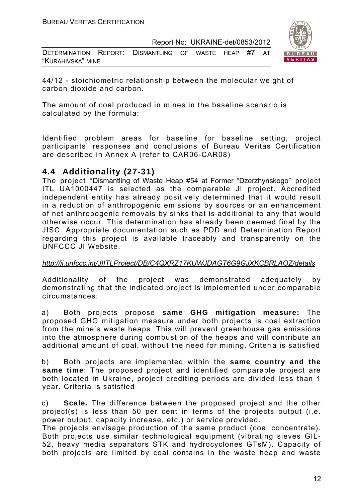| DETERMINATION REPORT: DISMANTLING OF WASTE HEAP #7 AT |  |  |  |  |
|-------------------------------------------------------|--|--|--|--|
| "KURAHIVSKA" MINE                                     |  |  |  |  |



44/12 - stoichiometric relationship between the molecular weight of carbon dioxide and carbon.

The amount of coal produced in mines in the baseline scenario is calculated by the formula:

Identified problem areas for baseline for baseline setting, project participants' responses and conclusions of Bureau Veritas Certification are described in Annex A (refer to CAR06-CAR08)

#### **4.4 Additionality (27-31)**

The project "Dismantling of Waste Heap #54 at Former "Dzerzhynskogo" project ITL UA1000447 is selected as the comparable JI project. Accredited independent entity has already positively determined that it would result in a reduction of anthropogenic emissions by sources or an enhancement of net anthropogenic removals by sinks that is additional to any that would otherwise occur. This determination has already been deemed final by the JISC. Appropriate documentation such as PDD and Determination Report regarding this project is available traceably and transparently on the UNFCCC JI Website.

#### *http://ji.unfccc.int/JIITLProject/DB/C4QXRZ17KUWJDAGT6G9GJXKCBRLAOZ/details*

Additionality of the project was demonstrated adequately by demonstrating that the indicated project is implemented under comparable circumstances:

a) Both projects propose **same GHG mitigation measure:** The proposed GHG mitigation measure under both projects is coal extraction from the mine's waste heaps. This will prevent greenhouse gas emissions into the atmosphere during combustion of the heaps and will contribute an additional amount of coal, without the need for mining. Criteria is satisfied

b) Both projects are implemented within the **same country and the same time**: The proposed project and identified comparable project are both located in Ukraine, project crediting periods are divided less than 1 year. Criteria is satisfied

c) **Scale.** The difference between the proposed project and the other project(s) is less than 50 per cent in terms of the projects output (i.e. power output, capacity increase, etc.) or service provided.

The projects envisage production of the same product (coal concentrate). Both projects use similar technological equipment (vibrating sieves GIL-52, heavy media separators STK and hydrocyclones GTsM). Capacity of both projects are limited by coal contains in the waste heap and waste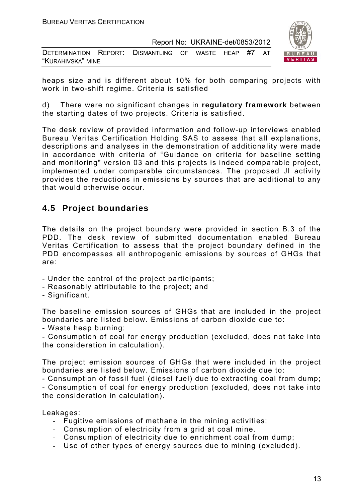| DETERMINATION REPORT: DISMANTLING OF WASTE HEAP #7 AT |  |  |  |  |
|-------------------------------------------------------|--|--|--|--|
| "KURAHIVSKA" MINE                                     |  |  |  |  |



heaps size and is different about 10% for both comparing projects with work in two-shift regime. Criteria is satisfied

d) There were no significant changes in **regulatory framework** between the starting dates of two projects. Criteria is satisfied.

The desk review of provided information and follow-up interviews enabled Bureau Veritas Certification Holding SAS to assess that all explanations, descriptions and analyses in the demonstration of additionality were made in accordance with criteria of "Guidance on criteria for baseline setting and monitoring" version 03 and this projects is indeed comparable project, implemented under comparable circumstances. The proposed JI activity provides the reductions in emissions by sources that are additional to any that would otherwise occur.

#### **4.5 Project boundaries**

The details on the project boundary were provided in section B.3 of the PDD. The desk review of submitted documentation enabled Bureau Veritas Certification to assess that the project boundary defined in the PDD encompasses all anthropogenic emissions by sources of GHGs that are:

- Under the control of the project participants;
- Reasonably attributable to the project; and
- Significant.

The baseline emission sources of GHGs that are included in the project boundaries are listed below. Emissions of carbon dioxide due to:

- Waste heap burning;

- Consumption of coal for energy production (excluded, does not take into the consideration in calculation).

The project emission sources of GHGs that were included in the project boundaries are listed below. Emissions of carbon dioxide due to:

- Consumption of fossil fuel (diesel fuel) due to extracting coal from dump; - Consumption of coal for energy production (excluded, does not take into the consideration in calculation).

Leakages:

- Fugitive emissions of methane in the mining activities;
- Consumption of electricity from a grid at coal mine.
- Consumption of electricity due to enrichment coal from dump;
- Use of other types of energy sources due to mining (excluded).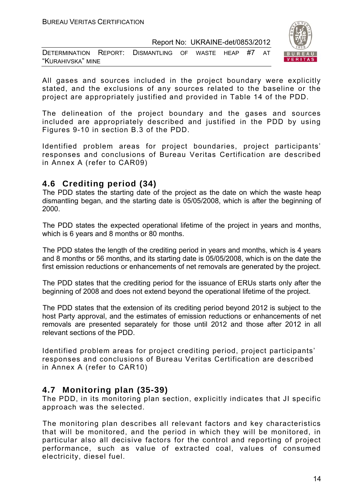| DETERMINATION REPORT: DISMANTLING OF WASTE HEAP #7 AT |  |  |  |  |
|-------------------------------------------------------|--|--|--|--|
| "KURAHIVSKA" MINE                                     |  |  |  |  |



All gases and sources included in the project boundary were explicitly stated, and the exclusions of any sources related to the baseline or the project are appropriately justified and provided in Table 14 of the PDD.

The delineation of the project boundary and the gases and sources included are appropriately described and justified in the PDD by using Figures 9-10 in section B.3 of the PDD.

Identified problem areas for project boundaries, project participants' responses and conclusions of Bureau Veritas Certification are described in Annex A (refer to CAR09)

#### **4.6 Crediting period (34)**

The PDD states the starting date of the project as the date on which the waste heap dismantling began, and the starting date is 05/05/2008, which is after the beginning of 2000.

The PDD states the expected operational lifetime of the project in years and months, which is 6 years and 8 months or 80 months.

The PDD states the length of the crediting period in years and months, which is 4 years and 8 months or 56 months, and its starting date is 05/05/2008, which is on the date the first emission reductions or enhancements of net removals are generated by the project.

The PDD states that the crediting period for the issuance of ERUs starts only after the beginning of 2008 and does not extend beyond the operational lifetime of the project.

The PDD states that the extension of its crediting period beyond 2012 is subject to the host Party approval, and the estimates of emission reductions or enhancements of net removals are presented separately for those until 2012 and those after 2012 in all relevant sections of the PDD.

Identified problem areas for project crediting period, project participants' responses and conclusions of Bureau Veritas Certification are described in Annex A (refer to CAR10)

#### **4.7 Monitoring plan (35-39)**

The PDD, in its monitoring plan section, explicitly indicates that JI specific approach was the selected.

The monitoring plan describes all relevant factors and key characteristics that will be monitored, and the period in which they will be monitored, in particular also all decisive factors for the control and reporting of project performance, such as value of extracted coal, values of consumed electricity, diesel fuel.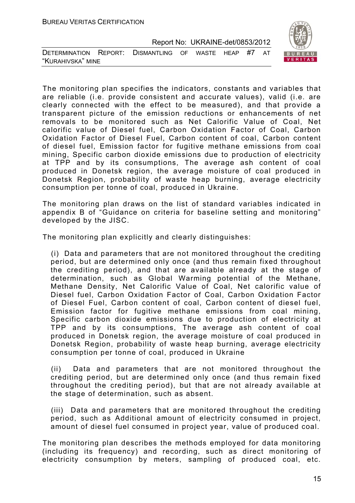

| DETERMINATION REPORT: DISMANTLING OF WASTE HEAP #7 AT |  |  |  |  |
|-------------------------------------------------------|--|--|--|--|
| "Kurahivska" mine                                     |  |  |  |  |

The monitoring plan specifies the indicators, constants and variables that are reliable (i.e. provide consistent and accurate values), valid (i.e. are clearly connected with the effect to be measured), and that provide a transparent picture of the emission reductions or enhancements of net removals to be monitored such as Net Calorific Value of Coal, Net calorific value of Diesel fuel, Carbon Oxidation Factor of Coal, Carbon Oxidation Factor of Diesel Fuel, Carbon content of coal, Carbon content of diesel fuel, Emission factor for fugitive methane emissions from coal mining, Specific carbon dioxide emissions due to production of electricity at TPP and by its consumptions, The average ash content of coal produced in Donetsk region, the average moisture of coal produced in Donetsk Region, probability of waste heap burning, average electricity consumption per tonne of coal, produced in Ukraine.

The monitoring plan draws on the list of standard variables indicated in appendix B of "Guidance on criteria for baseline setting and monitoring" developed by the JISC.

The monitoring plan explicitly and clearly distinguishes:

(i) Data and parameters that are not monitored throughout the crediting period, but are determined only once (and thus remain fixed throughout the crediting period), and that are available already at the stage of determination, such as Global Warming potential of the Methane, Methane Density, Net Calorific Value of Coal, Net calorific value of Diesel fuel, Carbon Oxidation Factor of Coal, Carbon Oxidation Factor of Diesel Fuel, Carbon content of coal, Carbon content of diesel fuel, Emission factor for fugitive methane emissions from coal mining, Specific carbon dioxide emissions due to production of electricity at TPP and by its consumptions, The average ash content of coal produced in Donetsk region, the average moisture of coal produced in Donetsk Region, probability of waste heap burning, average electricity consumption per tonne of coal, produced in Ukraine

(ii) Data and parameters that are not monitored throughout the crediting period, but are determined only once (and thus remain fixed throughout the crediting period), but that are not already available at the stage of determination, such as absent.

(iii) Data and parameters that are monitored throughout the crediting period, such as Additional amount of electricity consumed in project, amount of diesel fuel consumed in project year, value of produced coal.

The monitoring plan describes the methods employed for data monitoring (including its frequency) and recording, such as direct monitoring of electricity consumption by meters, sampling of produced coal, etc.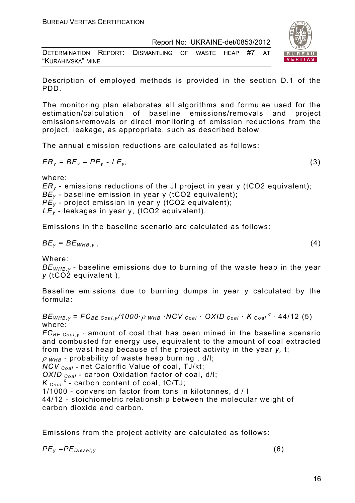| DETERMINATION REPORT: DISMANTLING OF WASTE HEAP #7 AT |  |  |  |  |
|-------------------------------------------------------|--|--|--|--|
| "KURAHIVSKA" MINE                                     |  |  |  |  |

Description of employed methods is provided in the section D.1 of the PDD.

The monitoring plan elaborates all algorithms and formulae used for the estimation/calculation of baseline emissions/removals and project emissions/removals or direct monitoring of emission reductions from the project, leakage, as appropriate, such as described below

The annual emission reductions are calculated as follows:

$$
ER_y = BE_y - PE_y - LE_y, \tag{3}
$$

where:

*ERy* - emissions reductions of the JI project in year y (tCO2 equivalent); *BE<sub>y</sub>* - baseline emission in year y (tCO2 equivalent);

*PE<sub>y</sub>* - project emission in year y (tCO2 equivalent);

*LEy* - leakages in year у, (tCO2 equivalent).

Emissions in the baseline scenario are calculated as follows:

$$
BE_y = BE_{WHB,y} \t\t(4)
$$

Where:

*BEWHB,y -* baseline emissions due to burning of the waste heap in the year *y* (tCO2 equivalent ),

Baseline emissions due to burning dumps in year y calculated by the formula:

 $BE_{WHB,V}$  =  $FC_{BE,Coal,V}$  /1000 ·  $\rho$  whb · NCV  $_{Coal}$  · OXID  $_{Coal}$  ·  $K_{Coal}$  <sup>c</sup> · 44/12 (5) where:

*FCBE,Coal,y* - amount of coal that has been mined in the baseline scenario and combusted for energy use, equivalent to the amount of coal extracted from the wast heap because of the project activity in the year *y,* t;

<sup>ρ</sup> *WHB* - probability of waste heap burning , d/l;

*NCV Coal* - net Calorific Value of coal, TJ/kt;

*OXID Coal* - carbon Oxidation factor of coal, d/l;

*K*  $_{Coal}$ <sup>*c*</sup> - carbon content of coal, tC/TJ;

1/1000 - conversion factor from tons in kilotonnes, d / l

44/12 - stoichiometric relationship between the molecular weight of carbon dioxide and carbon.

Emissions from the project activity are calculated as follows:

 $PE_v = PE_{Diesel.v}$  (6)

16

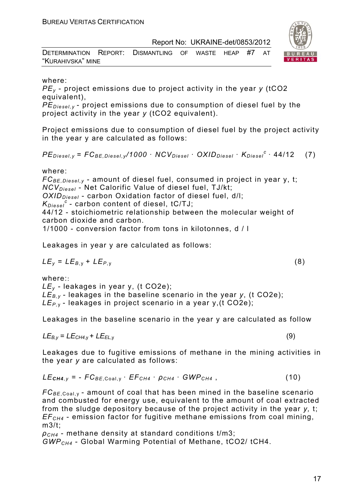| DETERMINATION REPORT: DISMANTLING OF WASTE HEAP #7 AT |  |  |  |  |
|-------------------------------------------------------|--|--|--|--|
| "KURAHIVSKA" MINE                                     |  |  |  |  |

#### where:

*PEy* - project emissions due to project activity in the year *y* (tCO2 equivalent),

*PE<sub>Diesel, v</sub>* - project emissions due to consumption of diesel fuel by the project activity in the year *y* (tCO2 equivalent).

Project emissions due to consumption of diesel fuel by the project activity in the year y are calculated as follows:

 $PE_{\text{Diesel. v}} = FC_{BE\text{Diesel. v}} / 1000 \cdot NCV_{\text{Diesel}} \cdot OXID_{\text{Diesel}} \cdot K_{\text{Diesel}}^c \cdot 44/12$  (7)

#### where:

*FC<sub>BE,Diesel,v* - amount of diesel fuel, consumed in project in year y, t;</sub> *NCV<sub>Diesel</sub>* - Net Calorific Value of diesel fuel, TJ/kt; OXID<sub>Diesel</sub> - carbon Oxidation factor of diesel fuel, d/l;  $K_{D \text{ } i \text{ } s \text{ } e \text{ } j}$ <sup>c</sup> - carbon content of diesel, tC/TJ; 44/12 - stoichiometric relationship between the molecular weight of

carbon dioxide and carbon.

1/1000 - conversion factor from tons in kilotonnes, d / l

Leakages in year y are calculated as follows:

$$
LE_y = LE_{B,y} + LE_{P,y}
$$
 (8)

where:: *LEy -* leakages in year у, (t СО2е);  $LE_{By}$  - leakages in the baseline scenario in the year *y*, (t CO2e); *LEP,* y - leakages in project scenario in a year y,(t СО2е);

Leakages in the baseline scenario in the year y are calculated as follow

 $LE_{B,V} = LE_{CH4,V} + LE_{EL,V}$  (9)

Leakages due to fugitive emissions of methane in the mining activities in the year *y* are calculated as follows:

$$
LE_{CH4,y} = -FC_{BE,Coal,y} \cdot EF_{CH4} \cdot \rho_{CH4} \cdot GWP_{CH4} , \qquad (10)
$$

*FC<sub>BF Coal v</sub>* - amount of coal that has been mined in the baseline scenario and combusted for energy use, equivalent to the amount of coal extracted from the sludge depository because of the project activity in the year *y,* t; *EFCH4* - emission factor for fugitive methane emissions from coal mining, m3/t;

*ρCH4* - methane density at standard conditions t/m3; *GWPCH4* - Global Warming Potential of Methane, tСО2/ tСН4.

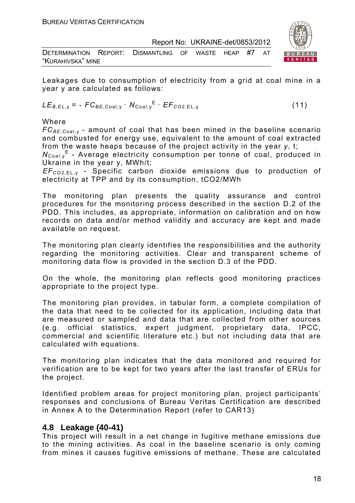| DETERMINATION REPORT: DISMANTLING OF WASTE HEAP #7 AT |  |  |  |  |  |
|-------------------------------------------------------|--|--|--|--|--|
| "KURAHIVSKA" MINE                                     |  |  |  |  |  |



Leakages due to consumption of electricity from a grid at coal mine in a year y are calculated as follows:

$$
LE_{B,EL,y} = -FC_{BE,Coal,y} \cdot N_{Coal,y}^{E} \cdot EF_{CO2,EL,y}
$$
 (11)

Where

 $FC_{BF\,Coal\,V}$  - amount of coal that has been mined in the baseline scenario and combusted for energy use, equivalent to the amount of coal extracted from the waste heaps because of the project activity in the year *y,* t;

*N<sub>Coal*,y</sub><sup>E</sup> - Average electricity consumption per tonne of coal, produced in Ukraine in the year y, MWh/t;

*EFCО2*,EL, <sup>у</sup> *-* Specific carbon dioxide emissions due to production of electricity at TPP and by its consumption, tСО2/MWh

The monitoring plan presents the quality assurance and control procedures for the monitoring process described in the section D.2 of the PDD. This includes, as appropriate, information on calibration and on how records on data and/or method validity and accuracy are kept and made available on request.

The monitoring plan clearly identifies the responsibilities and the authority regarding the monitoring activities. Clear and transparent scheme of monitoring data flow is provided in the section D.3 of the PDD.

On the whole, the monitoring plan reflects good monitoring practices appropriate to the project type.

The monitoring plan provides, in tabular form, a complete compilation of the data that need to be collected for its application, including data that are measured or sampled and data that are collected from other sources (e.g. official statistics, expert judgment, proprietary data, IPCC, commercial and scientific literature etc.) but not including data that are calculated with equations.

The monitoring plan indicates that the data monitored and required for verification are to be kept for two years after the last transfer of ERUs for the project.

Identified problem areas for project monitoring plan, project participants' responses and conclusions of Bureau Veritas Certification are described in Annex A to the Determination Report (refer to CAR13)

#### **4.8 Leakage (40-41)**

This project will result in a net change in fugitive methane emissions due to the mining activities. As coal in the baseline scenario is only coming from mines it causes fugitive emissions of methane. These are calculated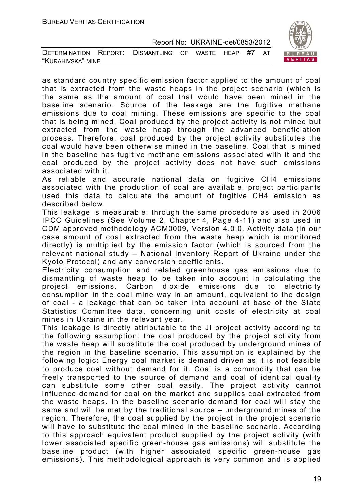| DETERMINATION REPORT: DISMANTLING OF WASTE HEAP #7 AT |  |  |  |  |
|-------------------------------------------------------|--|--|--|--|
| "KURAHIVSKA" MINE                                     |  |  |  |  |



As reliable and accurate national data on fugitive CH4 emissions associated with the production of coal are available, project participants used this data to calculate the amount of fugitive CH4 emission as described below.

This leakage is measurable: through the same procedure as used in 2006 IPCC Guidelines (See Volume 2, Chapter 4, Page 4-11) and also used in CDM approved methodology ACM0009, Version 4.0.0. Activity data (in our case amount of coal extracted from the waste heap which is monitored directly) is multiplied by the emission factor (which is sourced from the relevant national study – National Inventory Report of Ukraine under the Kyoto Protocol) and any conversion coefficients.

Electricity consumption and related greenhouse gas emissions due to dismantling of waste heap to be taken into account in calculating the project emissions. Carbon dioxide emissions due to electricity consumption in the coal mine way in an amount, equivalent to the design of coal - a leakage that can be taken into account at base of the State Statistics Committee data, concerning unit costs of electricity at coal mines in Ukraine in the relevant year.

This leakage is directly attributable to the JI project activity according to the following assumption: the coal produced by the project activity from the waste heap will substitute the coal produced by underground mines of the region in the baseline scenario. This assumption is explained by the following logic: Energy coal market is demand driven as it is not feasible to produce coal without demand for it. Coal is a commodity that can be freely transported to the source of demand and coal of identical quality can substitute some other coal easily. The project activity cannot influence demand for coal on the market and supplies coal extracted from the waste heaps. In the baseline scenario demand for coal will stay the same and will be met by the traditional source – underground mines of the region. Therefore, the coal supplied by the project in the project scenario will have to substitute the coal mined in the baseline scenario. According to this approach equivalent product supplied by the project activity (with lower associated specific green-house gas emissions) will substitute the baseline product (with higher associated specific green-house gas emissions). This methodological approach is very common and is applied

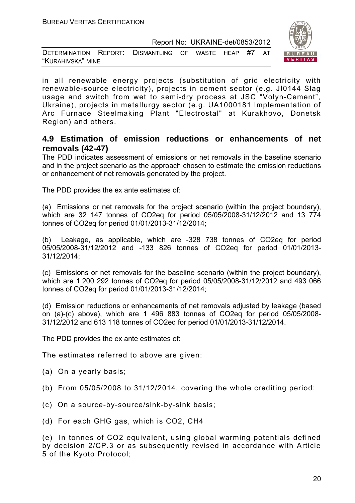| DETERMINATION REPORT: DISMANTLING OF WASTE HEAP #7 AT |  |  |  |  |
|-------------------------------------------------------|--|--|--|--|
| "KURAHIVSKA" MINE                                     |  |  |  |  |



in all renewable energy projects (substitution of grid electricity with renewable-source electricity), projects in cement sector (e.g. JI0144 Slag usage and switch from wet to semi-dry process at JSC "Volyn-Cement", Ukraine), projects in metallurgy sector (e.g. UA1000181 Implementation of Arc Furnace Steelmaking Plant "Electrostal" at Kurakhovo, Donetsk Region) and others.

#### **4.9 Estimation of emission reductions or enhancements of net removals (42-47)**

The PDD indicates assessment of emissions or net removals in the baseline scenario and in the project scenario as the approach chosen to estimate the emission reductions or enhancement of net removals generated by the project.

The PDD provides the ex ante estimates of:

(a) Emissions or net removals for the project scenario (within the project boundary), which are 32 147 tonnes of CO2eq for period 05/05/2008-31/12/2012 and 13 774 tonnes of CO2eq for period 01/01/2013-31/12/2014;

(b) Leakage, as applicable, which are -328 738 tonnes of CO2eq for period 05/05/2008-31/12/2012 and -133 826 tonnes of CO2eq for period 01/01/2013- 31/12/2014;

(c) Emissions or net removals for the baseline scenario (within the project boundary), which are 1 200 292 tonnes of CO2eq for period 05/05/2008-31/12/2012 and 493 066 tonnes of CO2eq for period 01/01/2013-31/12/2014;

(d) Emission reductions or enhancements of net removals adjusted by leakage (based on (a)-(c) above), which are 1 496 883 tonnes of CO2eq for period 05/05/2008- 31/12/2012 and 613 118 tonnes of CO2eq for period 01/01/2013-31/12/2014.

The PDD provides the ex ante estimates of:

The estimates referred to above are given:

- (a) On a yearly basis;
- (b) From 05/05/2008 to 31/12/2014, covering the whole crediting period;
- (c) On a source-by-source/sink-by-sink basis;
- (d) For each GHG gas, which is CO2, СН4

(e) In tonnes of CO2 equivalent, using global warming potentials defined by decision 2/CP.3 or as subsequently revised in accordance with Article 5 of the Kyoto Protocol;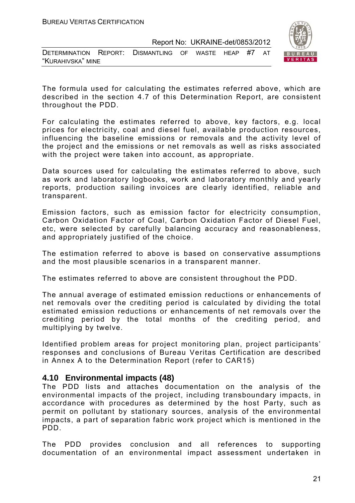| DETERMINATION REPORT: DISMANTLING OF WASTE HEAP #7 AT |  |  |  |  |  |  |  |
|-------------------------------------------------------|--|--|--|--|--|--|--|
| "KURAHIVSKA" MINE                                     |  |  |  |  |  |  |  |



The formula used for calculating the estimates referred above, which are described in the section 4.7 of this Determination Report, are consistent throughout the PDD.

For calculating the estimates referred to above, key factors, e.g. local prices for electricity, coal and diesel fuel, available production resources, influencing the baseline emissions or removals and the activity level of the project and the emissions or net removals as well as risks associated with the project were taken into account, as appropriate.

Data sources used for calculating the estimates referred to above, such as work and laboratory logbooks, work and laboratory monthly and yearly reports, production sailing invoices are clearly identified, reliable and transparent.

Emission factors, such as emission factor for electricity consumption, Carbon Oxidation Factor of Coal, Carbon Oxidation Factor of Diesel Fuel, etc, were selected by carefully balancing accuracy and reasonableness, and appropriately justified of the choice.

The estimation referred to above is based on conservative assumptions and the most plausible scenarios in a transparent manner.

The estimates referred to above are consistent throughout the PDD.

The annual average of estimated emission reductions or enhancements of net removals over the crediting period is calculated by dividing the total estimated emission reductions or enhancements of net removals over the crediting period by the total months of the crediting period, and multiplying by twelve.

Identified problem areas for project monitoring plan, project participants' responses and conclusions of Bureau Veritas Certification are described in Annex A to the Determination Report (refer to CAR15)

#### **4.10 Environmental impacts (48)**

The PDD lists and attaches documentation on the analysis of the environmental impacts of the project, including transboundary impacts, in accordance with procedures as determined by the host Party, such as permit on pollutant by stationary sources, analysis of the environmental impacts, a part of separation fabric work project which is mentioned in the PDD.

The PDD provides conclusion and all references to supporting documentation of an environmental impact assessment undertaken in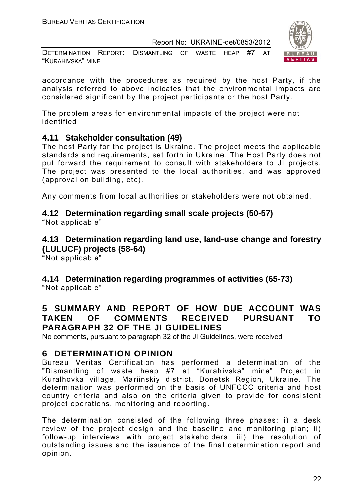DETERMINATION REPORT: DISMANTLING OF WASTE HEAP #7 AT "KURAHIVSKA" MINE



accordance with the procedures as required by the host Party, if the analysis referred to above indicates that the environmental impacts are considered significant by the project participants or the host Party.

The problem areas for environmental impacts of the project were not identified

#### **4.11 Stakeholder consultation (49)**

The host Party for the project is Ukraine. The project meets the applicable standards and requirements, set forth in Ukraine. The Host Party does not put forward the requirement to consult with stakeholders to JI projects. The project was presented to the local authorities, and was approved (approval on building, etc).

Any comments from local authorities or stakeholders were not obtained.

#### **4.12 Determination regarding small scale projects (50-57)**

"Not applicable"

**4.13 Determination regarding land use, land-use change and forestry (LULUCF) projects (58-64)** 

"Not applicable"

**4.14 Determination regarding programmes of activities (65-73)**  "Not applicable"

#### **5 SUMMARY AND REPORT OF HOW DUE ACCOUNT WAS TAKEN OF COMMENTS RECEIVED PURSUANT TO PARAGRAPH 32 OF THE JI GUIDELINES**

No comments, pursuant to paragraph 32 of the JI Guidelines, were received

#### **6 DETERMINATION OPINION**

Bureau Veritas Certification has performed a determination of the "Dismantling of waste heap #7 at "Kurahivska" mine" Project in Kuralhovka village, Mariinskiy district, Donetsk Region, Ukraine. The determination was performed on the basis of UNFCCC criteria and host country criteria and also on the criteria given to provide for consistent project operations, monitoring and reporting.

The determination consisted of the following three phases: i) a desk review of the project design and the baseline and monitoring plan; ii) follow-up interviews with project stakeholders; iii) the resolution of outstanding issues and the issuance of the final determination report and opinion.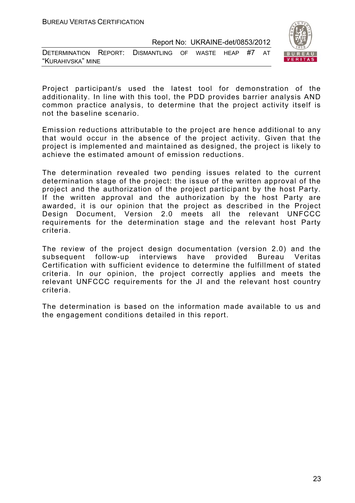| DETERMINATION REPORT: DISMANTLING OF WASTE HEAP #7 AT |  |  |  |  |
|-------------------------------------------------------|--|--|--|--|
| "KURAHIVSKA" MINE                                     |  |  |  |  |



Project participant/s used the latest tool for demonstration of the additionality. In line with this tool, the PDD provides barrier analysis AND common practice analysis, to determine that the project activity itself is not the baseline scenario.

Emission reductions attributable to the project are hence additional to any that would occur in the absence of the project activity. Given that the project is implemented and maintained as designed, the project is likely to achieve the estimated amount of emission reductions.

The determination revealed two pending issues related to the current determination stage of the project: the issue of the written approval of the project and the authorization of the project participant by the host Party. If the written approval and the authorization by the host Party are awarded, it is our opinion that the project as described in the Project Design Document, Version 2.0 meets all the relevant UNFCCC requirements for the determination stage and the relevant host Party criteria.

The review of the project design documentation (version 2.0) and the subsequent follow-up interviews have provided Bureau Veritas Certification with sufficient evidence to determine the fulfillment of stated criteria. In our opinion, the project correctly applies and meets the relevant UNFCCC requirements for the JI and the relevant host country criteria.

The determination is based on the information made available to us and the engagement conditions detailed in this report.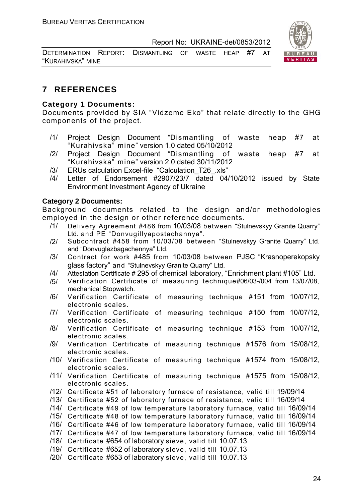DETERMINATION REPORT: DISMANTLING OF WASTE HEAP #7 AT "KURAHIVSKA" MINE



#### **7 REFERENCES**

#### **Category 1 Documents:**

Documents provided by SIA "Vidzeme Eko" that relate directly to the GHG components of the project.

- /1/ Project Design Document "Dismantling of waste heap #7 at "Kurahivska" mine" version 1.0 dated 05/10/2012
- /2/ Project Design Document "Dismantling of waste heap #7 at "Kurahivska" mine" version 2.0 dated 30/11/2012
- /3/ ERUs calculation Excel-file "Calculation\_T26\_.xls"
- /4/ Letter of Endorsement #2907/23/7 dated 04/10/2012 issued by State Environment Investment Agency of Ukraine

#### **Category 2 Documents:**

Background documents related to the design and/or methodologies employed in the design or other reference documents.

- /1/ Delivery Agreement #486 from 10/03/08 between "Stulnevskyy Granite Quarry" Ltd. and PE "Donvugillyapostachannya".
- /2/ Subcontract #458 from 10/03/08 between "Stulnevskyy Granite Quarry" Ltd. and "Donvuglezbagachennya" Ltd.
- /3/ Contract for work #485 from 10/03/08 between PJSC "Krasnoperekopsky glass factory" and "Stulnevskyy Granite Quarry" Ltd.
- /4/ Attestation Certificate # 295 of chemical laboratory, "Enrichment plant #105" Ltd.
- /5/ Verification Certificate of measuring technique#06/03-/004 from 13/07/08, mechanical Stopwatch.
- /6/ Verification Certificate of measuring technique #151 from 10/07/12, electronic scales.
- /7/ Verification Certificate of measuring technique #150 from 10/07/12, electronic scales.
- /8/ Verification Certificate of measuring technique #153 from 10/07/12, electronic scales.
- /9/ Verification Certificate of measuring technique #1576 from 15/08/12, electronic scales.
- /10/ Verification Certificate of measuring technique #1574 from 15/08/12, electronic scales.
- /11/ Verification Certificate of measuring technique #1575 from 15/08/12, electronic scales.
- /12/ Certificate #51 of laboratory furnace of resistance, valid till 19/09/14
- /13/ Certificate #52 of laboratory furnace of resistance, valid till 16/09/14
- /14/ Certificate #49 of low temperature laboratory furnace, valid till 16/09/14
- /15/ Certificate #48 of low temperature laboratory furnace, valid till 16/09/14
- /16/ Certificate #46 of low temperature laboratory furnace, valid till 16/09/14
- /17/ Certificate #47 of low temperature laboratory furnace, valid till 16/09/14
- /18/ Certificate #654 of laboratory sieve, valid till 10.07.13
- /19/ Certificate #652 of laboratory sieve, valid till 10.07.13
- /20/ Certificate #653 of laboratory sieve, valid till 10.07.13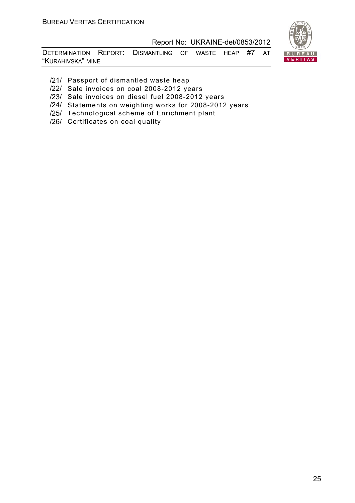

DETERMINATION REPORT: DISMANTLING OF WASTE HEAP #7 AT "KURAHIVSKA" MINE

- /21/ Passport of dismantled waste heap
- /22/ Sale invoices on coal 2008-2012 years
- /23/ Sale invoices on diesel fuel 2008-2012 years
- /24/ Statements on weighting works for 2008-2012 years
- /25/ Technological scheme of Enrichment plant
- /26/ Certificates on coal quality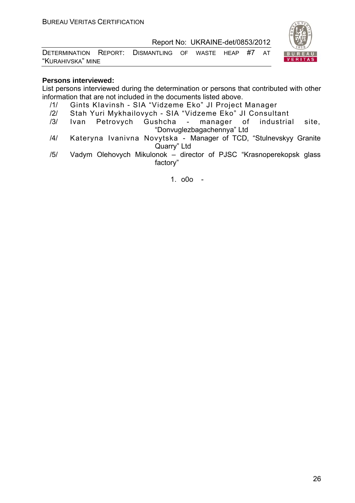DETERMINATION REPORT: DISMANTLING OF WASTE HEAP #7 AT "KURAHIVSKA" MINE



#### **Persons interviewed:**

List persons interviewed during the determination or persons that contributed with other information that are not included in the documents listed above.

- /1/ Gints KIavinsh SIA "Vidzeme Eko" JI Project Manager
- /2/ Stah Yuri Mykhailovych SIA "Vidzeme Eko" JI Consultant
- /3/ Ivan Petrovych Gushcha manager of industrial site, "Donvuglezbagachennya" Ltd
- /4/ Kateryna Ivanivna Novytska Manager of TCD, "Stulnevskyy Granite Quarry" Ltd
- /5/ Vadym Olehovych Mikulonok director of PJSC "Krasnoperekopsk glass factory"

1. o0o -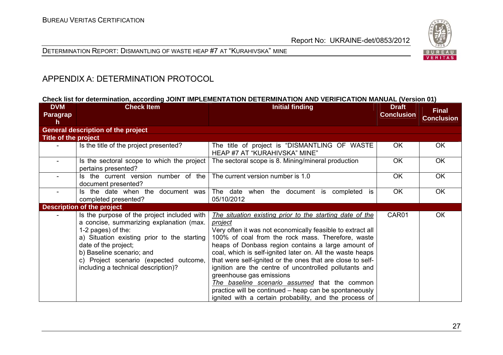



#### APPENDIX A: DETERMINATION PROTOCOL

#### **Check list for determination, according JOINT IMPLEMENTATION DETERMINATION AND VERIFICATION MANUAL (Version 01)**

| <b>DVM</b><br>Paragrap<br>h | <b>Check Item</b>                                                                                                                                                                                                                                                                                  | <b>Initial finding</b>                                                                                                                                                                                                                                                                                                                                                                                                                                                                                                                                                                                                                    | <b>Draft</b><br><b>Conclusion</b> | <b>Final</b><br><b>Conclusion</b> |
|-----------------------------|----------------------------------------------------------------------------------------------------------------------------------------------------------------------------------------------------------------------------------------------------------------------------------------------------|-------------------------------------------------------------------------------------------------------------------------------------------------------------------------------------------------------------------------------------------------------------------------------------------------------------------------------------------------------------------------------------------------------------------------------------------------------------------------------------------------------------------------------------------------------------------------------------------------------------------------------------------|-----------------------------------|-----------------------------------|
|                             | <b>General description of the project</b>                                                                                                                                                                                                                                                          |                                                                                                                                                                                                                                                                                                                                                                                                                                                                                                                                                                                                                                           |                                   |                                   |
| Title of the project        |                                                                                                                                                                                                                                                                                                    |                                                                                                                                                                                                                                                                                                                                                                                                                                                                                                                                                                                                                                           |                                   |                                   |
|                             | Is the title of the project presented?                                                                                                                                                                                                                                                             | The title of project is "DISMANTLING OF WASTE<br>HEAP #7 AT "KURAHIVSKA" MINE"                                                                                                                                                                                                                                                                                                                                                                                                                                                                                                                                                            | OK.                               | <b>OK</b>                         |
|                             | Is the sectoral scope to which the project<br>pertains presented?                                                                                                                                                                                                                                  | The sectoral scope is 8. Mining/mineral production                                                                                                                                                                                                                                                                                                                                                                                                                                                                                                                                                                                        | <b>OK</b>                         | <b>OK</b>                         |
|                             | Is the current version number of the<br>document presented?                                                                                                                                                                                                                                        | The current version number is 1.0                                                                                                                                                                                                                                                                                                                                                                                                                                                                                                                                                                                                         | <b>OK</b>                         | <b>OK</b>                         |
|                             | Is the date when the document was<br>completed presented?                                                                                                                                                                                                                                          | The date when the document is completed is<br>05/10/2012                                                                                                                                                                                                                                                                                                                                                                                                                                                                                                                                                                                  | <b>OK</b>                         | OK                                |
|                             | <b>Description of the project</b>                                                                                                                                                                                                                                                                  |                                                                                                                                                                                                                                                                                                                                                                                                                                                                                                                                                                                                                                           |                                   |                                   |
|                             | Is the purpose of the project included with<br>a concise, summarizing explanation (max.<br>1-2 pages) of the:<br>a) Situation existing prior to the starting<br>date of the project;<br>b) Baseline scenario; and<br>c) Project scenario (expected outcome,<br>including a technical description)? | The situation existing prior to the starting date of the<br><i>project</i><br>Very often it was not economically feasible to extract all<br>100% of coal from the rock mass. Therefore, waste<br>heaps of Donbass region contains a large amount of<br>coal, which is self-ignited later on. All the waste heaps<br>that were self-ignited or the ones that are close to self-<br>ignition are the centre of uncontrolled pollutants and<br>greenhouse gas emissions<br>The baseline scenario assumed that the common<br>practice will be continued – heap can be spontaneously<br>ignited with a certain probability, and the process of | CAR01                             | <b>OK</b>                         |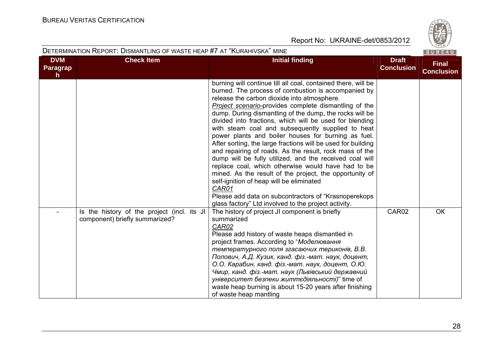

#### DETERMINATION REPORT: DISMANTLING OF WASTE HEAP #7 AT "KURAHIVSKA" MINE

| <b>DVM</b><br>Paragrap | <b>Check Item</b>                                                             | <b>Initial finding</b>                                                                                                                                                                                                                                                                                                                                                                                                                                                                                                                                                                                                                                                                                                                                                                                                                                                                                                                      | <b>Draft</b><br><b>Conclusion</b> | <b>Final</b>      |
|------------------------|-------------------------------------------------------------------------------|---------------------------------------------------------------------------------------------------------------------------------------------------------------------------------------------------------------------------------------------------------------------------------------------------------------------------------------------------------------------------------------------------------------------------------------------------------------------------------------------------------------------------------------------------------------------------------------------------------------------------------------------------------------------------------------------------------------------------------------------------------------------------------------------------------------------------------------------------------------------------------------------------------------------------------------------|-----------------------------------|-------------------|
| $\mathsf{h}$           |                                                                               |                                                                                                                                                                                                                                                                                                                                                                                                                                                                                                                                                                                                                                                                                                                                                                                                                                                                                                                                             |                                   | <b>Conclusion</b> |
|                        |                                                                               | burning will continue till all coal, contained there, will be<br>burned. The process of combustion is accompanied by<br>release the carbon dioxide into atmosphere.<br>Project scenario-provides complete dismantling of the<br>dump. During dismantling of the dump, the rocks will be<br>divided into fractions, which will be used for blending<br>with steam coal and subsequently supplied to heat<br>power plants and boiler houses for burning as fuel.<br>After sorting, the large fractions will be used for building<br>and repairing of roads. As the result, rock mass of the<br>dump will be fully utilized, and the received coal will<br>replace coal, which otherwise would have had to be<br>mined. As the result of the project, the opportunity of<br>self-ignition of heap will be eliminated<br>CAR01<br>Please add data on subcontractors of "Krasnoperekops"<br>glass factory" Ltd involved to the project activity. |                                   |                   |
|                        | Is the history of the project (incl. its JI<br>component) briefly summarized? | The history of project JI component is briefly<br>summarized<br>CAR02<br>Please add history of waste heaps dismantled in<br>project frames. According to "Моделювання<br>температурного поля згасаючих териконів, В.В.<br>Попович, А.Д. Кузик, канд. фіз.-мат. наук, доцент,<br>О.О. Карабин, канд. фіз.-мат. наук, доцент, О.Ю.<br>Чмир, канд. фіз.-мат. наук (Львівський державний<br>університет безпеки життєдіяльності)" time of<br>waste heap burning is about 15-20 years after finishing<br>of waste heap mantling                                                                                                                                                                                                                                                                                                                                                                                                                  | CAR02                             | OK                |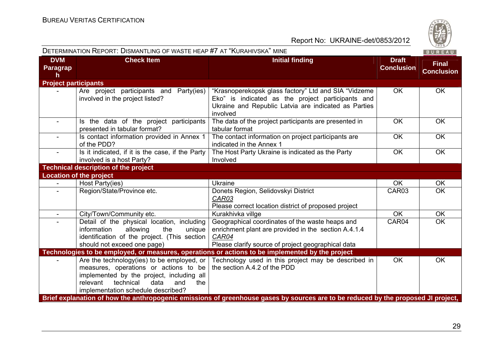DETERMINATION REPORT: DISMANTLING OF WASTE HEAP #7 AT "KURAHIVSKA" MINE



| <b>DVM</b><br>Paragrap<br>h | <b>Check Item</b>                                                                                                                                                                                                      | <b>Initial finding</b>                                                                                                                                                        | <b>Draft</b><br><b>Conclusion</b> | <b>Final</b><br><b>Conclusion</b> |
|-----------------------------|------------------------------------------------------------------------------------------------------------------------------------------------------------------------------------------------------------------------|-------------------------------------------------------------------------------------------------------------------------------------------------------------------------------|-----------------------------------|-----------------------------------|
| <b>Project participants</b> |                                                                                                                                                                                                                        |                                                                                                                                                                               |                                   |                                   |
|                             | Are project participants and Party(ies)<br>involved in the project listed?                                                                                                                                             | "Krasnoperekopsk glass factory" Ltd and SIA "Vidzeme<br>Eko" is indicated as the project participants and<br>Ukraine and Republic Latvia are indicated as Parties<br>involved | <b>OK</b>                         | <b>OK</b>                         |
|                             | Is the data of the project participants<br>presented in tabular format?                                                                                                                                                | The data of the project participants are presented in<br>tabular format                                                                                                       | <b>OK</b>                         | <b>OK</b>                         |
|                             | Is contact information provided in Annex 1<br>of the PDD?                                                                                                                                                              | The contact information on project participants are<br>indicated in the Annex 1                                                                                               | <b>OK</b>                         | <b>OK</b>                         |
| $\overline{\phantom{a}}$    | Is it indicated, if it is the case, if the Party<br>involved is a host Party?                                                                                                                                          | The Host Party Ukraine is indicated as the Party<br>Involved                                                                                                                  | OK                                | <b>OK</b>                         |
|                             | <b>Technical description of the project</b>                                                                                                                                                                            |                                                                                                                                                                               |                                   |                                   |
|                             | <b>Location of the project</b>                                                                                                                                                                                         |                                                                                                                                                                               |                                   |                                   |
|                             | Host Party(ies)                                                                                                                                                                                                        | <b>Ukraine</b>                                                                                                                                                                | <b>OK</b>                         | <b>OK</b>                         |
|                             | Region/State/Province etc.                                                                                                                                                                                             | Donets Region, Selidovskyi District<br>CAR03<br>Please correct location district of proposed project                                                                          | CAR03                             | OK                                |
| $\blacksquare$              | City/Town/Community etc.                                                                                                                                                                                               | Kurakhivka villge                                                                                                                                                             | <b>OK</b>                         | OK                                |
|                             | Detail of the physical location, including<br>information<br>allowing<br>the<br>unique<br>identification of the project. (This section<br>should not exceed one page)                                                  | Geographical coordinates of the waste heaps and<br>enrichment plant are provided in the section A.4.1.4<br>CAR04<br>Please clarify source of project geographical data        | CAR04                             | <b>OK</b>                         |
|                             |                                                                                                                                                                                                                        | Technologies to be employed, or measures, operations or actions to be implemented by the project                                                                              |                                   |                                   |
|                             | Are the technology (ies) to be employed, or<br>measures, operations or actions to be<br>implemented by the project, including all<br>relevant<br>technical<br>data<br>and<br>the<br>implementation schedule described? | Technology used in this project may be described in<br>the section A.4.2 of the PDD                                                                                           | OK                                | <b>OK</b>                         |
|                             |                                                                                                                                                                                                                        | Brief explanation of how the anthropogenic emissions of greenhouse gases by sources are to be reduced by the proposed JI project,                                             |                                   |                                   |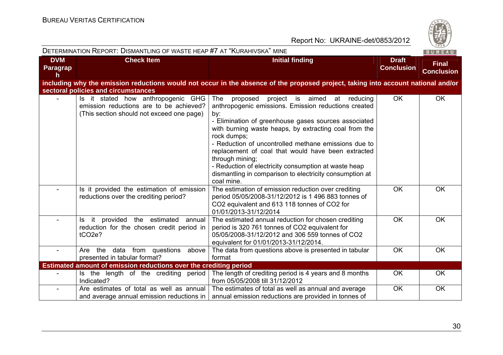**DVM** 

DETERMINATION REPORT: DISMANTLING OF WASTE HEAP #7 AT "KURAHIVSKA" MINE



**Final** 

#### Report No: UKRAINE-det/0853/2012

| <b>Paragrap</b><br>h |                                                                                                                            |                                                                                                                                                                                                                                                                                                                                                                                                                                                                                                                        | <b>Conclusion</b> | <b>Conclusion</b> |
|----------------------|----------------------------------------------------------------------------------------------------------------------------|------------------------------------------------------------------------------------------------------------------------------------------------------------------------------------------------------------------------------------------------------------------------------------------------------------------------------------------------------------------------------------------------------------------------------------------------------------------------------------------------------------------------|-------------------|-------------------|
|                      |                                                                                                                            | including why the emission reductions would not occur in the absence of the proposed project, taking into account national and/or                                                                                                                                                                                                                                                                                                                                                                                      |                   |                   |
|                      | sectoral policies and circumstances                                                                                        |                                                                                                                                                                                                                                                                                                                                                                                                                                                                                                                        |                   |                   |
|                      | Is it stated how anthropogenic GHG<br>emission reductions are to be achieved?<br>(This section should not exceed one page) | The<br>proposed<br>project is aimed<br>at<br>reducing<br>anthropogenic emissions. Emission reductions created<br>by:<br>- Elimination of greenhouse gases sources associated<br>with burning waste heaps, by extracting coal from the<br>rock dumps;<br>- Reduction of uncontrolled methane emissions due to<br>replacement of coal that would have been extracted<br>through mining;<br>- Reduction of electricity consumption at waste heap<br>dismantling in comparison to electricity consumption at<br>coal mine. | <b>OK</b>         | OK                |
|                      | Is it provided the estimation of emission<br>reductions over the crediting period?                                         | The estimation of emission reduction over crediting<br>period 05/05/2008-31/12/2012 is 1 496 883 tonnes of<br>CO2 equivalent and 613 118 tonnes of CO2 for<br>01/01/2013-31/12/2014                                                                                                                                                                                                                                                                                                                                    | <b>OK</b>         | OK                |
|                      | it provided the estimated<br>annual<br>ls.<br>reduction for the chosen credit period in<br>tCO <sub>2</sub> e?             | The estimated annual reduction for chosen crediting<br>period is 320 761 tonnes of CO2 equivalent for<br>05/05/2008-31/12/2012 and 306 559 tonnes of CO2<br>equivalent for 01/01/2013-31/12/2014.                                                                                                                                                                                                                                                                                                                      | OK                | OK                |
|                      | data from questions<br>Are the<br>above<br>presented in tabular format?                                                    | The data from questions above is presented in tabular<br>format                                                                                                                                                                                                                                                                                                                                                                                                                                                        | <b>OK</b>         | OK                |
|                      | Estimated amount of emission reductions over the crediting period                                                          |                                                                                                                                                                                                                                                                                                                                                                                                                                                                                                                        |                   |                   |
|                      | Is the length of the crediting period<br>Indicated?                                                                        | The length of crediting period is 4 years and 8 months<br>from 05/05/2008 till 31/12/2012                                                                                                                                                                                                                                                                                                                                                                                                                              | OK                | <b>OK</b>         |
|                      | Are estimates of total as well as annual<br>and average annual emission reductions in                                      | The estimates of total as well as annual and average<br>annual emission reductions are provided in tonnes of                                                                                                                                                                                                                                                                                                                                                                                                           | OK                | OK                |

**Check Item Initial finding Check Item Initial finding Check Item Initial finding Check Item Initial finding**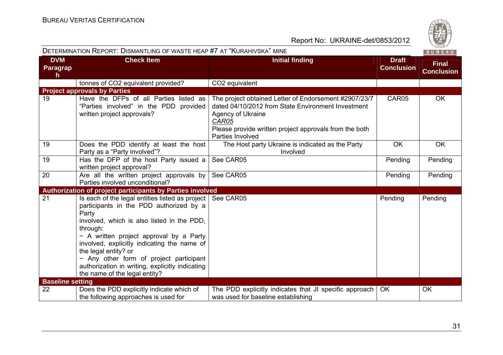| DETERMINATION REPORT: DISMANTLING OF WASTE HEAP #7 AT "KURAHIVSKA" MINE<br>BUREAU |                                                                                                                                                                                                                                                                                                                                                                                                                |                                                                                                                                                                                                                         |                                   |                                   |
|-----------------------------------------------------------------------------------|----------------------------------------------------------------------------------------------------------------------------------------------------------------------------------------------------------------------------------------------------------------------------------------------------------------------------------------------------------------------------------------------------------------|-------------------------------------------------------------------------------------------------------------------------------------------------------------------------------------------------------------------------|-----------------------------------|-----------------------------------|
| <b>DVM</b><br><b>Paragrap</b><br>h.                                               | <b>Check Item</b>                                                                                                                                                                                                                                                                                                                                                                                              | <b>Initial finding</b>                                                                                                                                                                                                  | <b>Draft</b><br><b>Conclusion</b> | <b>Final</b><br><b>Conclusion</b> |
|                                                                                   | tonnes of CO2 equivalent provided?                                                                                                                                                                                                                                                                                                                                                                             | CO2 equivalent                                                                                                                                                                                                          |                                   |                                   |
|                                                                                   | <b>Project approvals by Parties</b>                                                                                                                                                                                                                                                                                                                                                                            |                                                                                                                                                                                                                         |                                   |                                   |
| 19                                                                                | Have the DFPs of all Parties listed as<br>"Parties involved" in the PDD provided<br>written project approvals?                                                                                                                                                                                                                                                                                                 | The project obtained Letter of Endorsement #2907/23/7<br>dated 04/10/2012 from State Environment Investment<br>Agency of Ukraine<br>CAR05<br>Please provide written project approvals from the both<br>Parties Involved | CAR05                             | <b>OK</b>                         |
| 19                                                                                | Does the PDD identify at least the host<br>Party as a "Party involved"?                                                                                                                                                                                                                                                                                                                                        | The Host party Ukraine is indicated as the Party<br>Involved                                                                                                                                                            | <b>OK</b>                         | OK                                |
| 19                                                                                | Has the DFP of the host Party issued a<br>written project approval?                                                                                                                                                                                                                                                                                                                                            | See CAR05                                                                                                                                                                                                               | Pending                           | Pending                           |
| 20                                                                                | Are all the written project approvals by<br>Parties involved unconditional?                                                                                                                                                                                                                                                                                                                                    | See CAR05                                                                                                                                                                                                               | Pending                           | Pending                           |
|                                                                                   | Authorization of project participants by Parties involved                                                                                                                                                                                                                                                                                                                                                      |                                                                                                                                                                                                                         |                                   |                                   |
| $\overline{21}$                                                                   | Is each of the legal entities listed as project<br>participants in the PDD authorized by a<br>Party<br>involved, which is also listed in the PDD,<br>through:<br>- A written project approval by a Party<br>involved, explicitly indicating the name of<br>the legal entity? or<br>- Any other form of project participant<br>authorization in writing, explicitly indicating<br>the name of the legal entity? | See CAR05                                                                                                                                                                                                               | Pending                           | Pending                           |
| <b>Baseline setting</b>                                                           |                                                                                                                                                                                                                                                                                                                                                                                                                |                                                                                                                                                                                                                         |                                   |                                   |
| 22                                                                                | Does the PDD explicitly indicate which of<br>the following approaches is used for                                                                                                                                                                                                                                                                                                                              | The PDD explicitly indicates that JI specific approach<br>was used for baseline establishing                                                                                                                            | <b>OK</b>                         | OK                                |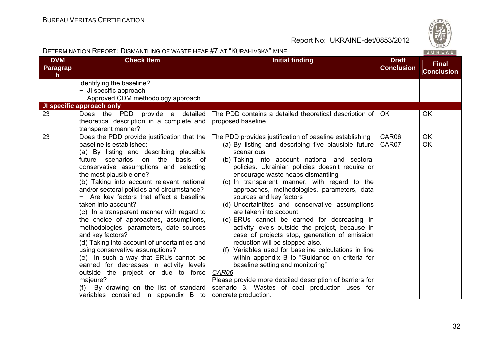| DETERMINATION REPORT: DISMANTLING OF WASTE HEAP #7 AT "KURAHIVSKA" MINE |                                                                                                                                                                                                                                                                                                                                                                                                                                                                                                                                                                                                                                                                                                                                                                                                                                                                           |                                                                                                                                                                                                                                                                                                                                                                                                                                                                                                                                                                                                                                                                                                                                                                                                                                                                                                                                                                  | 020/<br>BUREAU                    |                                   |
|-------------------------------------------------------------------------|---------------------------------------------------------------------------------------------------------------------------------------------------------------------------------------------------------------------------------------------------------------------------------------------------------------------------------------------------------------------------------------------------------------------------------------------------------------------------------------------------------------------------------------------------------------------------------------------------------------------------------------------------------------------------------------------------------------------------------------------------------------------------------------------------------------------------------------------------------------------------|------------------------------------------------------------------------------------------------------------------------------------------------------------------------------------------------------------------------------------------------------------------------------------------------------------------------------------------------------------------------------------------------------------------------------------------------------------------------------------------------------------------------------------------------------------------------------------------------------------------------------------------------------------------------------------------------------------------------------------------------------------------------------------------------------------------------------------------------------------------------------------------------------------------------------------------------------------------|-----------------------------------|-----------------------------------|
| <b>DVM</b><br><b>Paragrap</b><br>h.                                     | <b>Check Item</b>                                                                                                                                                                                                                                                                                                                                                                                                                                                                                                                                                                                                                                                                                                                                                                                                                                                         | <b>Initial finding</b>                                                                                                                                                                                                                                                                                                                                                                                                                                                                                                                                                                                                                                                                                                                                                                                                                                                                                                                                           | <b>Draft</b><br><b>Conclusion</b> | <b>Final</b><br><b>Conclusion</b> |
|                                                                         | identifying the baseline?<br>- JI specific approach<br>- Approved CDM methodology approach                                                                                                                                                                                                                                                                                                                                                                                                                                                                                                                                                                                                                                                                                                                                                                                |                                                                                                                                                                                                                                                                                                                                                                                                                                                                                                                                                                                                                                                                                                                                                                                                                                                                                                                                                                  |                                   |                                   |
|                                                                         | JI specific approach only                                                                                                                                                                                                                                                                                                                                                                                                                                                                                                                                                                                                                                                                                                                                                                                                                                                 |                                                                                                                                                                                                                                                                                                                                                                                                                                                                                                                                                                                                                                                                                                                                                                                                                                                                                                                                                                  |                                   |                                   |
| 23                                                                      | Does the PDD provide a detailed<br>theoretical description in a complete and<br>transparent manner?                                                                                                                                                                                                                                                                                                                                                                                                                                                                                                                                                                                                                                                                                                                                                                       | The PDD contains a detailed theoretical description of<br>proposed baseline                                                                                                                                                                                                                                                                                                                                                                                                                                                                                                                                                                                                                                                                                                                                                                                                                                                                                      | OK.                               | <b>OK</b>                         |
| $\overline{23}$                                                         | Does the PDD provide justification that the<br>baseline is established:<br>(a) By listing and describing plausible<br>future scenarios on the basis of<br>conservative assumptions and selecting<br>the most plausible one?<br>(b) Taking into account relevant national<br>and/or sectoral policies and circumstance?<br>- Are key factors that affect a baseline<br>taken into account?<br>(c) In a transparent manner with regard to<br>the choice of approaches, assumptions,<br>methodologies, parameters, date sources<br>and key factors?<br>(d) Taking into account of uncertainties and<br>using conservative assumptions?<br>(e) In such a way that ERUs cannot be<br>earned for decreases in activity levels<br>outside the project or due to force<br>majeure?<br>(f) By drawing on the list of standard<br>variables contained in appendix $\overline{B}$ to | The PDD provides justification of baseline establishing<br>(a) By listing and describing five plausible future<br>scenarious<br>(b) Taking into account national and sectoral<br>policies. Ukrainian policies doesn't require or<br>encourage waste heaps dismantling<br>(c) In transparent manner, with regard to the<br>approaches, methodologies, parameters, data<br>sources and key factors<br>(d) Uncertaintites and conservative assumptions<br>are taken into account<br>(e) ERUs cannot be earned for decreasing in<br>activity levels outside the project, because in<br>case of projects stop, generation of emission<br>reduction will be stopped also.<br>(f) Variables used for baseline calculations in line<br>within appendix B to "Guidance on criteria for<br>baseline setting and monitoring"<br>CAR06<br>Please provide more detailed description of barriers for<br>scenario 3. Wastes of coal production uses for<br>concrete production. | CAR06<br>CAR07                    | <b>OK</b><br>OK                   |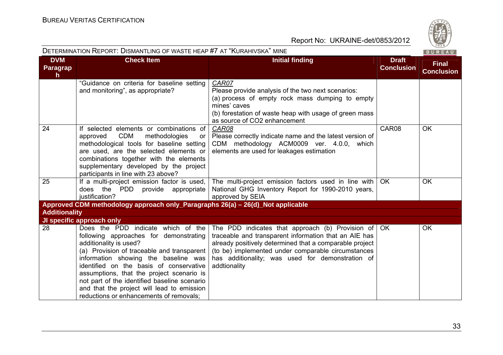

| <b>DETERMINATION REPORT: DISMANTLING OF WASTE HEAP #7 AT "KURAHIVSKA" MINE</b><br>BUREAU |                                                                                                                                                                                                                                                                                                                                                                                                                               |                                                                                                                                                                                                                                                                                                                  |                                   |                                   |
|------------------------------------------------------------------------------------------|-------------------------------------------------------------------------------------------------------------------------------------------------------------------------------------------------------------------------------------------------------------------------------------------------------------------------------------------------------------------------------------------------------------------------------|------------------------------------------------------------------------------------------------------------------------------------------------------------------------------------------------------------------------------------------------------------------------------------------------------------------|-----------------------------------|-----------------------------------|
| <b>DVM</b><br>Paragrap<br>$\mathsf{h}$                                                   | <b>Check Item</b>                                                                                                                                                                                                                                                                                                                                                                                                             | <b>Initial finding</b>                                                                                                                                                                                                                                                                                           | <b>Draft</b><br><b>Conclusion</b> | <b>Final</b><br><b>Conclusion</b> |
|                                                                                          | "Guidance on criteria for baseline setting<br>and monitoring", as appropriate?                                                                                                                                                                                                                                                                                                                                                | CAR07<br>Please provide analysis of the two next scenarios:<br>(a) process of empty rock mass dumping to empty<br>mines' caves<br>(b) forestation of waste heap with usage of green mass<br>as source of CO2 enhancement                                                                                         |                                   |                                   |
| 24                                                                                       | If selected elements or combinations of<br><b>CDM</b><br>methodologies<br>approved<br><b>or</b><br>methodological tools for baseline setting<br>are used, are the selected elements or<br>combinations together with the elements<br>supplementary developed by the project<br>participants in line with 23 above?                                                                                                            | CAR08<br>Please correctly indicate name and the latest version of<br>CDM methodology ACM0009 ver. 4.0.0, which<br>elements are used for leakages estimation                                                                                                                                                      | CAR08                             | <b>OK</b>                         |
| 25                                                                                       | If a multi-project emission factor is used,<br>PDD<br>provide appropriate<br>does the<br>justification?                                                                                                                                                                                                                                                                                                                       | The multi-project emission factors used in line with<br>National GHG Inventory Report for 1990-2010 years,<br>approved by SEIA                                                                                                                                                                                   | OK.                               | <b>OK</b>                         |
|                                                                                          | Approved CDM methodology approach only_Paragraphs 26(a) - 26(d)_Not applicable                                                                                                                                                                                                                                                                                                                                                |                                                                                                                                                                                                                                                                                                                  |                                   |                                   |
| <b>Additionality</b>                                                                     |                                                                                                                                                                                                                                                                                                                                                                                                                               |                                                                                                                                                                                                                                                                                                                  |                                   |                                   |
|                                                                                          | JI specific approach only                                                                                                                                                                                                                                                                                                                                                                                                     |                                                                                                                                                                                                                                                                                                                  |                                   |                                   |
| 28                                                                                       | Does the PDD indicate which of the<br>following approaches for demonstrating<br>additionality is used?<br>(a) Provision of traceable and transparent<br>information showing the baseline was<br>identified on the basis of conservative<br>assumptions, that the project scenario is<br>not part of the identified baseline scenario<br>and that the project will lead to emission<br>reductions or enhancements of removals; | The PDD indicates that approach (b) Provision of $\overline{O}$ OK<br>traceable and transparent information that an AIE has<br>already positively determined that a comparable project<br>(to be) implemented under comparable circumstances<br>has additionality; was used for demonstration of<br>addtionality |                                   | <b>OK</b>                         |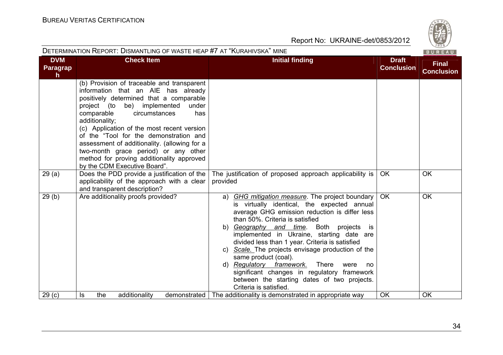|                                     | DETERMINATION REPORT: DISMANTLING OF WASTE HEAP #7 AT "KURAHIVSKA" MINE                                                                                                                                                                                                                                                                                                                                                                                                                   |                                                                                                                                                                                                                                                                                                                                                                                                                                                                                                                                                                                             |                                   | 1820/<br>BUREAU                   |
|-------------------------------------|-------------------------------------------------------------------------------------------------------------------------------------------------------------------------------------------------------------------------------------------------------------------------------------------------------------------------------------------------------------------------------------------------------------------------------------------------------------------------------------------|---------------------------------------------------------------------------------------------------------------------------------------------------------------------------------------------------------------------------------------------------------------------------------------------------------------------------------------------------------------------------------------------------------------------------------------------------------------------------------------------------------------------------------------------------------------------------------------------|-----------------------------------|-----------------------------------|
| <b>DVM</b><br><b>Paragrap</b><br>h. | <b>Check Item</b>                                                                                                                                                                                                                                                                                                                                                                                                                                                                         | <b>Initial finding</b>                                                                                                                                                                                                                                                                                                                                                                                                                                                                                                                                                                      | <b>Draft</b><br><b>Conclusion</b> | <b>Final</b><br><b>Conclusion</b> |
|                                     | (b) Provision of traceable and transparent<br>information that an AIE has already<br>positively determined that a comparable<br>project (to be) implemented<br>under<br>comparable<br>circumstances<br>has<br>additionality;<br>(c) Application of the most recent version<br>of the "Tool for the demonstration and<br>assessment of additionality. (allowing for a<br>two-month grace period) or any other<br>method for proving additionality approved<br>by the CDM Executive Board". |                                                                                                                                                                                                                                                                                                                                                                                                                                                                                                                                                                                             |                                   |                                   |
| 29(a)                               | Does the PDD provide a justification of the $ $<br>applicability of the approach with a clear<br>and transparent description?                                                                                                                                                                                                                                                                                                                                                             | The justification of proposed approach applicability is<br>provided                                                                                                                                                                                                                                                                                                                                                                                                                                                                                                                         | OK.                               | <b>OK</b>                         |
| 29(b)                               | Are additionality proofs provided?                                                                                                                                                                                                                                                                                                                                                                                                                                                        | a) GHG mitigation measure. The project boundary<br>is virtually identical, the expected annual<br>average GHG emission reduction is differ less<br>than 50%. Criteria is satisfied<br>b) Geography and time. Both projects<br>is is<br>implemented in Ukraine, starting date are<br>divided less than 1 year. Criteria is satisfied<br>c) Scale. The projects envisage production of the<br>same product (coal).<br>d) Regulatory framework.<br>There<br>were<br>no<br>significant changes in regulatory framework<br>between the starting dates of two projects.<br>Criteria is satisfied. | <b>OK</b>                         | <b>OK</b>                         |
| 29(c)                               | the<br>additionality<br>Is                                                                                                                                                                                                                                                                                                                                                                                                                                                                | demonstrated   The additionality is demonstrated in appropriate way                                                                                                                                                                                                                                                                                                                                                                                                                                                                                                                         | <b>OK</b>                         | OK                                |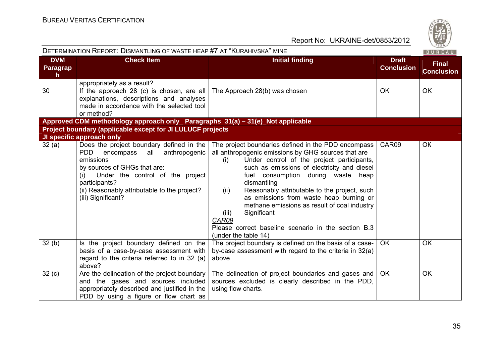| <b>DETERMINATION REPORT: DISMANTLING OF WASTE HEAP #7 AT "KURAHIVSKA" MINE</b> |                                                                                                                                                                                                                                                                      |                                                                                                                                                                                                                                                                                                                                                                                                                                                                                                                                        |                                   | $\sim$ 02 $\sim$<br>BUREAU        |
|--------------------------------------------------------------------------------|----------------------------------------------------------------------------------------------------------------------------------------------------------------------------------------------------------------------------------------------------------------------|----------------------------------------------------------------------------------------------------------------------------------------------------------------------------------------------------------------------------------------------------------------------------------------------------------------------------------------------------------------------------------------------------------------------------------------------------------------------------------------------------------------------------------------|-----------------------------------|-----------------------------------|
| <b>DVM</b><br>Paragrap<br>h.                                                   | <b>Check Item</b>                                                                                                                                                                                                                                                    | <b>Initial finding</b>                                                                                                                                                                                                                                                                                                                                                                                                                                                                                                                 | <b>Draft</b><br><b>Conclusion</b> | <b>Final</b><br><b>Conclusion</b> |
|                                                                                | appropriately as a result?                                                                                                                                                                                                                                           |                                                                                                                                                                                                                                                                                                                                                                                                                                                                                                                                        |                                   |                                   |
| 30                                                                             | If the approach 28 (c) is chosen, are all<br>explanations, descriptions and analyses<br>made in accordance with the selected tool<br>or method?                                                                                                                      | The Approach 28(b) was chosen                                                                                                                                                                                                                                                                                                                                                                                                                                                                                                          | <b>OK</b>                         | <b>OK</b>                         |
|                                                                                | Approved CDM methodology approach only_ Paragraphs 31(a) – 31(e)_Not applicable                                                                                                                                                                                      |                                                                                                                                                                                                                                                                                                                                                                                                                                                                                                                                        |                                   |                                   |
| Project boundary (applicable except for JI LULUCF projects                     |                                                                                                                                                                                                                                                                      |                                                                                                                                                                                                                                                                                                                                                                                                                                                                                                                                        |                                   |                                   |
|                                                                                | JI specific approach only                                                                                                                                                                                                                                            |                                                                                                                                                                                                                                                                                                                                                                                                                                                                                                                                        |                                   |                                   |
| 32(a)                                                                          | Does the project boundary defined in the<br>anthropogenic<br>PDD.<br>encompass<br>all<br>emissions<br>by sources of GHGs that are:<br>Under the control of the project<br>(i)<br>participants?<br>(ii) Reasonably attributable to the project?<br>(iii) Significant? | The project boundaries defined in the PDD encompass<br>all anthropogenic emissions by GHG sources that are<br>Under control of the project participants,<br>(i)<br>such as emissions of electricity and diesel<br>fuel consumption during waste heap<br>dismantling<br>Reasonably attributable to the project, such<br>(ii)<br>as emissions from waste heap burning or<br>methane emissions as result of coal industry<br>Significant<br>(iii)<br>CAR09<br>Please correct baseline scenario in the section B.3<br>(under the table 14) | CAR09                             | OK                                |
| 32(b)                                                                          | Is the project boundary defined on the<br>basis of a case-by-case assessment with<br>regard to the criteria referred to in 32 (a)<br>above?                                                                                                                          | The project boundary is defined on the basis of a case-<br>by-case assessment with regard to the criteria in 32(a)<br>above                                                                                                                                                                                                                                                                                                                                                                                                            | <b>OK</b>                         | OK                                |
| 32 <sub>(c)</sub>                                                              | Are the delineation of the project boundary<br>and the gases and sources included<br>appropriately described and justified in the<br>PDD by using a figure or flow chart as                                                                                          | The delineation of project boundaries and gases and<br>sources excluded is clearly described in the PDD,<br>using flow charts.                                                                                                                                                                                                                                                                                                                                                                                                         | OK.                               | <b>OK</b>                         |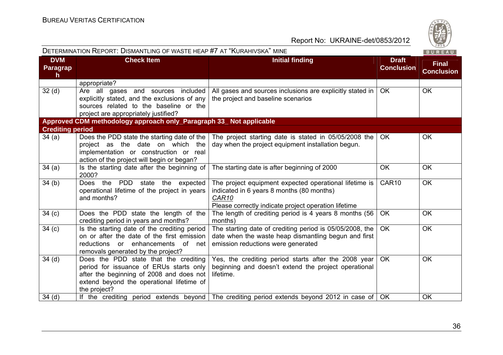| <b>DETERMINATION REPORT: DISMANTLING OF WASTE HEAP #7 AT "KURAHIVSKA" MINE</b><br>BUREAU |                                                                                                                                                                                           |                                                                                                                                                                                  |                                   |                                   |
|------------------------------------------------------------------------------------------|-------------------------------------------------------------------------------------------------------------------------------------------------------------------------------------------|----------------------------------------------------------------------------------------------------------------------------------------------------------------------------------|-----------------------------------|-----------------------------------|
| <b>DVM</b><br>Paragrap<br>$\mathsf{h}$                                                   | <b>Check Item</b>                                                                                                                                                                         | <b>Initial finding</b>                                                                                                                                                           | <b>Draft</b><br><b>Conclusion</b> | <b>Final</b><br><b>Conclusion</b> |
|                                                                                          | appropriate?                                                                                                                                                                              |                                                                                                                                                                                  |                                   |                                   |
| 32 <sub>(d)</sub>                                                                        | Are all gases and sources included<br>explicitly stated, and the exclusions of any<br>sources related to the baseline or the<br>project are appropriately justified?                      | All gases and sources inclusions are explicitly stated in<br>the project and baseline scenarios                                                                                  | OK                                | <b>OK</b>                         |
|                                                                                          | Approved CDM methodology approach only_Paragraph 33_Not applicable                                                                                                                        |                                                                                                                                                                                  |                                   |                                   |
| <b>Crediting period</b>                                                                  |                                                                                                                                                                                           |                                                                                                                                                                                  |                                   |                                   |
| 34(a)                                                                                    | Does the PDD state the starting date of the<br>project as the date on which the<br>implementation or construction or real<br>action of the project will begin or began?                   | The project starting date is stated in 05/05/2008 the<br>day when the project equipment installation begun.                                                                      | OK                                | <b>OK</b>                         |
| 34(a)                                                                                    | Is the starting date after the beginning of<br>2000?                                                                                                                                      | The starting date is after beginning of 2000                                                                                                                                     | <b>OK</b>                         | OK                                |
| 34(b)                                                                                    | Does the PDD state the expected<br>operational lifetime of the project in years<br>and months?                                                                                            | The project equipment expected operational lifetime is<br>indicated in 6 years 8 months (80 months)<br>CAR <sub>10</sub><br>Please correctly indicate project operation lifetime | CAR10                             | <b>OK</b>                         |
| 34 <sub>(c)</sub>                                                                        | Does the PDD state the length of the<br>crediting period in years and months?                                                                                                             | The length of crediting period is 4 years 8 months (56<br>months)                                                                                                                | <b>OK</b>                         | <b>OK</b>                         |
| 34 <sub>(c)</sub>                                                                        | Is the starting date of the crediting period<br>on or after the date of the first emission<br>reductions or enhancements of net<br>removals generated by the project?                     | The starting date of crediting period is 05/05/2008, the<br>date when the waste heap dismantling begun and first<br>emission reductions were generated                           | <b>OK</b>                         | <b>OK</b>                         |
| 34 <sub>(d)</sub>                                                                        | Does the PDD state that the crediting<br>period for issuance of ERUs starts only<br>after the beginning of 2008 and does not<br>extend beyond the operational lifetime of<br>the project? | Yes, the crediting period starts after the 2008 year<br>beginning and doesn't extend the project operational<br>lifetime.                                                        | <b>OK</b>                         | <b>OK</b>                         |
| 34 <sub>(d)</sub>                                                                        |                                                                                                                                                                                           | If the crediting period extends beyond The crediting period extends beyond 2012 in case of                                                                                       | OK.                               | OK                                |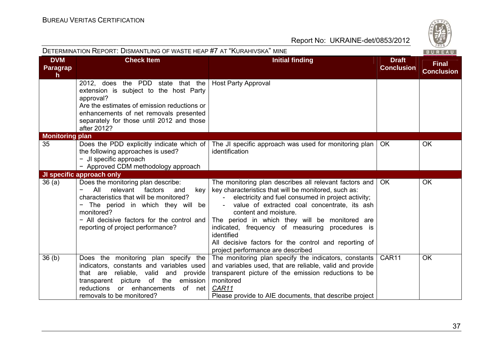

|                                        | DETERMINATION REPORT: DISMANTLING OF WASTE HEAP #7 AT "KURAHIVSKA" MINE<br>BUREAU                                                                                                                                                                              |                                                                                                                                                                                                                                                                                                                                                                                                                                                                |                                   |                                   |
|----------------------------------------|----------------------------------------------------------------------------------------------------------------------------------------------------------------------------------------------------------------------------------------------------------------|----------------------------------------------------------------------------------------------------------------------------------------------------------------------------------------------------------------------------------------------------------------------------------------------------------------------------------------------------------------------------------------------------------------------------------------------------------------|-----------------------------------|-----------------------------------|
| <b>DVM</b><br>Paragrap<br>$\mathsf{h}$ | <b>Check Item</b>                                                                                                                                                                                                                                              | <b>Initial finding</b>                                                                                                                                                                                                                                                                                                                                                                                                                                         | <b>Draft</b><br><b>Conclusion</b> | <b>Final</b><br><b>Conclusion</b> |
|                                        | 2012, does the PDD state that the<br>extension is subject to the host Party<br>approval?<br>Are the estimates of emission reductions or<br>enhancements of net removals presented<br>separately for those until 2012 and those<br>after 2012?                  | <b>Host Party Approval</b>                                                                                                                                                                                                                                                                                                                                                                                                                                     |                                   |                                   |
| <b>Monitoring plan</b>                 |                                                                                                                                                                                                                                                                |                                                                                                                                                                                                                                                                                                                                                                                                                                                                |                                   |                                   |
| 35                                     | Does the PDD explicitly indicate which of<br>the following approaches is used?<br>- JI specific approach<br>- Approved CDM methodology approach                                                                                                                | The JI specific approach was used for monitoring plan<br>identification                                                                                                                                                                                                                                                                                                                                                                                        | OK.                               | <b>OK</b>                         |
|                                        | JI specific approach only                                                                                                                                                                                                                                      |                                                                                                                                                                                                                                                                                                                                                                                                                                                                |                                   |                                   |
| 36(a)                                  | Does the monitoring plan describe:<br>All<br>relevant<br>factors<br>and<br>key<br>characteristics that will be monitored?<br>The period in which they will be<br>monitored?<br>- All decisive factors for the control and<br>reporting of project performance? | The monitoring plan describes all relevant factors and<br>key characteristics that will be monitored, such as:<br>electricity and fuel consumed in project activity;<br>value of extracted coal concentrate, its ash<br>content and moisture.<br>The period in which they will be monitored are<br>indicated, frequency of measuring procedures is<br>identified<br>All decisive factors for the control and reporting of<br>project performance are described | <b>OK</b>                         | OK                                |
| 36 <sub>(b)</sub>                      | Does the monitoring plan specify the<br>indicators, constants and variables used<br>that are reliable, valid<br>and<br>provide<br>emission<br>transparent picture of the<br>reductions<br>or enhancements<br>of net<br>removals to be monitored?               | The monitoring plan specify the indicators, constants<br>and variables used, that are reliable, valid and provide<br>transparent picture of the emission reductions to be<br>monitored<br>CAR11<br>Please provide to AIE documents, that describe project                                                                                                                                                                                                      | CAR <sub>11</sub>                 | <b>OK</b>                         |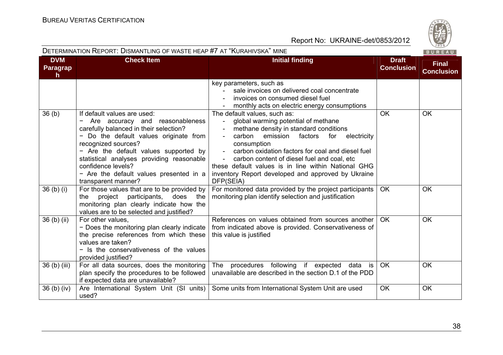

#### DETERMINATION REPORT: DISMANTLING OF WASTE HEAP #7 AT "KURAHIVSKA" MINE

|                                        |                                                                                                                                                                                                                                                                                                                                                            |                                                                                                                                                                                                                                                                                                                                                                                                                                                        |                                   | $-0.11 - 0.0$                     |
|----------------------------------------|------------------------------------------------------------------------------------------------------------------------------------------------------------------------------------------------------------------------------------------------------------------------------------------------------------------------------------------------------------|--------------------------------------------------------------------------------------------------------------------------------------------------------------------------------------------------------------------------------------------------------------------------------------------------------------------------------------------------------------------------------------------------------------------------------------------------------|-----------------------------------|-----------------------------------|
| <b>DVM</b><br>Paragrap<br>$\mathsf{h}$ | <b>Check Item</b>                                                                                                                                                                                                                                                                                                                                          | <b>Initial finding</b>                                                                                                                                                                                                                                                                                                                                                                                                                                 | <b>Draft</b><br><b>Conclusion</b> | <b>Final</b><br><b>Conclusion</b> |
|                                        |                                                                                                                                                                                                                                                                                                                                                            | key parameters, such as<br>sale invoices on delivered coal concentrate<br>invoices on consumed diesel fuel<br>monthly acts on electric energy consumptions                                                                                                                                                                                                                                                                                             |                                   |                                   |
| 36 <sub>(b)</sub>                      | If default values are used:<br>Are accuracy and reasonableness<br>۰<br>carefully balanced in their selection?<br>Do the default values originate from<br>recognized sources?<br>- Are the default values supported by<br>statistical analyses providing reasonable<br>confidence levels?<br>- Are the default values presented in a<br>transparent manner? | The default values, such as:<br>global warming potential of methane<br>$\sim$<br>methane density in standard conditions<br>carbon<br>emission factors<br>for electricity<br>$\sim$<br>consumption<br>$\omega_{\rm{max}}$<br>carbon oxidation factors for coal and diesel fuel<br>carbon content of diesel fuel and coal, etc<br>these default values is in line within National GHG<br>inventory Report developed and approved by Ukraine<br>DFP(SEIA) | <b>OK</b>                         | <b>OK</b>                         |
| 36 <sub>(b)(i)</sub>                   | For those values that are to be provided by<br>project participants,<br>does the<br>the<br>monitoring plan clearly indicate how the<br>values are to be selected and justified?                                                                                                                                                                            | For monitored data provided by the project participants<br>monitoring plan identify selection and justification                                                                                                                                                                                                                                                                                                                                        | <b>OK</b>                         | <b>OK</b>                         |
| 36 <sub>(b)(ii)</sub>                  | For other values.<br>- Does the monitoring plan clearly indicate<br>the precise references from which these<br>values are taken?<br>- Is the conservativeness of the values<br>provided justified?                                                                                                                                                         | References on values obtained from sources another<br>from indicated above is provided. Conservativeness of<br>this value is justified                                                                                                                                                                                                                                                                                                                 | OK.                               | <b>OK</b>                         |
| 36 (b) (iii)                           | For all data sources, does the monitoring<br>plan specify the procedures to be followed<br>if expected data are unavailable?                                                                                                                                                                                                                               | The<br>procedures following if expected<br>data is<br>unavailable are described in the section D.1 of the PDD                                                                                                                                                                                                                                                                                                                                          | <b>OK</b>                         | <b>OK</b>                         |
| $36(b)$ (iv)                           | Are International System Unit (SI units)<br>used?                                                                                                                                                                                                                                                                                                          | Some units from International System Unit are used                                                                                                                                                                                                                                                                                                                                                                                                     | <b>OK</b>                         | OK                                |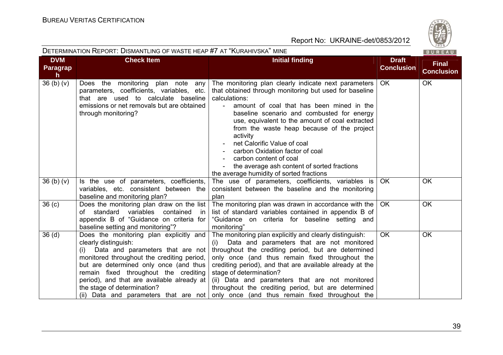

| DETERMINATION REPORT: DISMANTLING OF WASTE HEAP #7 AT "KURAHIVSKA" MINE<br>BUREAU |                                                                                                                                                                                                                                                                                                                                                                   |                                                                                                                                                                                                                                                                                                                                                                                                                                                                                                                                                  |                                   |                                   |
|-----------------------------------------------------------------------------------|-------------------------------------------------------------------------------------------------------------------------------------------------------------------------------------------------------------------------------------------------------------------------------------------------------------------------------------------------------------------|--------------------------------------------------------------------------------------------------------------------------------------------------------------------------------------------------------------------------------------------------------------------------------------------------------------------------------------------------------------------------------------------------------------------------------------------------------------------------------------------------------------------------------------------------|-----------------------------------|-----------------------------------|
| <b>DVM</b><br>Paragrap<br>h.                                                      | <b>Check Item</b>                                                                                                                                                                                                                                                                                                                                                 | <b>Initial finding</b>                                                                                                                                                                                                                                                                                                                                                                                                                                                                                                                           | <b>Draft</b><br><b>Conclusion</b> | <b>Final</b><br><b>Conclusion</b> |
| 36 <sub>(b)(v)</sub>                                                              | Does the monitoring plan note any<br>parameters, coefficients, variables, etc.<br>that are used to calculate baseline<br>emissions or net removals but are obtained<br>through monitoring?                                                                                                                                                                        | The monitoring plan clearly indicate next parameters<br>that obtained through monitoring but used for baseline<br>calculations:<br>amount of coal that has been mined in the<br>$\blacksquare$<br>baseline scenario and combusted for energy<br>use, equivalent to the amount of coal extracted<br>from the waste heap because of the project<br>activity<br>net Calorific Value of coal<br>carbon Oxidation factor of coal<br>carbon content of coal<br>the average ash content of sorted fractions<br>the average humidity of sorted fractions | <b>OK</b>                         | OK                                |
| 36(b)(v)                                                                          | Is the use of parameters, coefficients,<br>variables, etc. consistent between the<br>baseline and monitoring plan?                                                                                                                                                                                                                                                | The use of parameters, coefficients, variables is<br>consistent between the baseline and the monitoring<br>plan                                                                                                                                                                                                                                                                                                                                                                                                                                  | <b>OK</b>                         | <b>OK</b>                         |
| 36 <sub>(c)</sub>                                                                 | Does the monitoring plan draw on the list<br>variables<br>contained<br>standard<br>of<br>-in<br>appendix B of "Guidance on criteria for<br>baseline setting and monitoring"?                                                                                                                                                                                      | The monitoring plan was drawn in accordance with the<br>list of standard variables contained in appendix B of<br>"Guidance on criteria for baseline setting and<br>monitoring"                                                                                                                                                                                                                                                                                                                                                                   | <b>OK</b>                         | <b>OK</b>                         |
| 36 <sub>(d)</sub>                                                                 | Does the monitoring plan explicitly and<br>clearly distinguish:<br>Data and parameters that are not<br>(i)<br>monitored throughout the crediting period,<br>but are determined only once (and thus<br>remain fixed throughout the crediting<br>period), and that are available already at<br>the stage of determination?<br>(ii) Data and parameters that are not | The monitoring plan explicitly and clearly distinguish:<br>Data and parameters that are not monitored<br>(i)<br>throughout the crediting period, but are determined<br>only once (and thus remain fixed throughout the<br>crediting period), and that are available already at the<br>stage of determination?<br>(ii) Data and parameters that are not monitored<br>throughout the crediting period, but are determined<br>only once (and thus remain fixed throughout the                                                                       | <b>OK</b>                         | <b>OK</b>                         |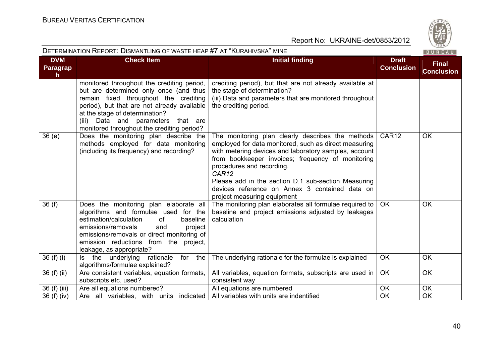

| <b>DETERMINATION REPORT: DISMANTLING OF WASTE HEAP #7 AT "KURAHIVSKA" MINE</b> |                                                                                                                                                                                                                                                                                                       |                                                                                                                                                                                                                                                                                                                                                                                                        | $\sim$ 02 $\sim$<br>BUREAU        |                                   |
|--------------------------------------------------------------------------------|-------------------------------------------------------------------------------------------------------------------------------------------------------------------------------------------------------------------------------------------------------------------------------------------------------|--------------------------------------------------------------------------------------------------------------------------------------------------------------------------------------------------------------------------------------------------------------------------------------------------------------------------------------------------------------------------------------------------------|-----------------------------------|-----------------------------------|
| <b>DVM</b><br><b>Paragrap</b><br>h                                             | <b>Check Item</b>                                                                                                                                                                                                                                                                                     | <b>Initial finding</b>                                                                                                                                                                                                                                                                                                                                                                                 | <b>Draft</b><br><b>Conclusion</b> | <b>Final</b><br><b>Conclusion</b> |
|                                                                                | monitored throughout the crediting period,<br>but are determined only once (and thus<br>remain fixed throughout the crediting<br>period), but that are not already available<br>at the stage of determination?<br>Data and parameters that are<br>(iii)<br>monitored throughout the crediting period? | crediting period), but that are not already available at<br>the stage of determination?<br>(iii) Data and parameters that are monitored throughout<br>the crediting period.                                                                                                                                                                                                                            |                                   |                                   |
| 36(e)                                                                          | Does the monitoring plan describe the<br>methods employed for data monitoring<br>(including its frequency) and recording?                                                                                                                                                                             | The monitoring plan clearly describes the methods<br>employed for data monitored, such as direct measuring<br>with metering devices and laboratory samples, account<br>from bookkeeper invoices; frequency of monitoring<br>procedures and recording.<br>CAR12<br>Please add in the section D.1 sub-section Measuring<br>devices reference on Annex 3 contained data on<br>project measuring equipment | CAR <sub>12</sub>                 | <b>OK</b>                         |
| 36(f)                                                                          | Does the monitoring plan elaborate all<br>algorithms and formulae used for the<br>estimation/calculation<br><b>of</b><br>baseline<br>emissions/removals<br>and<br>project<br>emissions/removals or direct monitoring of<br>emission reductions from the project,<br>leakage, as appropriate?          | The monitoring plan elaborates all formulae required to<br>baseline and project emissions adjusted by leakages<br>calculation                                                                                                                                                                                                                                                                          | <b>OK</b>                         | <b>OK</b>                         |
| 36 $(f)$ $(i)$                                                                 | the underlying<br>rationale<br>for the<br>ls –<br>algorithms/formulae explained?                                                                                                                                                                                                                      | The underlying rationale for the formulae is explained                                                                                                                                                                                                                                                                                                                                                 | <b>OK</b>                         | <b>OK</b>                         |
| 36 (f) (ii)                                                                    | Are consistent variables, equation formats,<br>subscripts etc. used?                                                                                                                                                                                                                                  | All variables, equation formats, subscripts are used in<br>consistent way                                                                                                                                                                                                                                                                                                                              | <b>OK</b>                         | <b>OK</b>                         |
| 36 (f) (iii)                                                                   | Are all equations numbered?                                                                                                                                                                                                                                                                           | All equations are numbered                                                                                                                                                                                                                                                                                                                                                                             | OK                                | OK                                |
| 36 (f) (iv)                                                                    | Are all variables, with units indicated                                                                                                                                                                                                                                                               | All variables with units are indentified                                                                                                                                                                                                                                                                                                                                                               | OK                                | <b>OK</b>                         |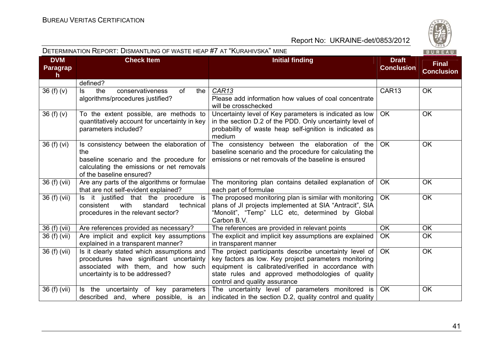

| <b>DETERMINATION REPORT: DISMANTLING OF WASTE HEAP #7 AT "KURAHIVSKA" MINE</b> |                                                                                                                                                                      |                                                                                                                                                                                                                                                              |                                   |           |  |
|--------------------------------------------------------------------------------|----------------------------------------------------------------------------------------------------------------------------------------------------------------------|--------------------------------------------------------------------------------------------------------------------------------------------------------------------------------------------------------------------------------------------------------------|-----------------------------------|-----------|--|
| <b>DVM</b><br><b>Paragrap</b><br>$\mathsf{h}$                                  | <b>Check Item</b>                                                                                                                                                    | <b>Draft</b><br><b>Conclusion</b>                                                                                                                                                                                                                            | <b>Final</b><br><b>Conclusion</b> |           |  |
|                                                                                | defined?                                                                                                                                                             |                                                                                                                                                                                                                                                              |                                   |           |  |
| 36 $(f)(v)$                                                                    | conservativeness<br>the<br>of<br>the<br>ls.<br>algorithms/procedures justified?                                                                                      | CAR13<br>Please add information how values of coal concentrate<br>will be crosschecked                                                                                                                                                                       | CAR13                             | <b>OK</b> |  |
| 36(f)(v)                                                                       | To the extent possible, are methods to<br>quantitatively account for uncertainty in key<br>parameters included?                                                      | Uncertainty level of Key parameters is indicated as low<br>in the section D.2 of the PDD. Only uncertainty level of<br>probability of waste heap self-ignition is indicated as<br>medium                                                                     | <b>OK</b>                         | <b>OK</b> |  |
| 36 (f) (vi)                                                                    | Is consistency between the elaboration of<br>the<br>baseline scenario and the procedure for<br>calculating the emissions or net removals<br>of the baseline ensured? | The consistency between the elaboration of the<br>baseline scenario and the procedure for calculating the<br>emissions or net removals of the baseline is ensured                                                                                            | <b>OK</b>                         | <b>OK</b> |  |
| 36 (f) (vii)                                                                   | Are any parts of the algorithms or formulae<br>that are not self-evident explained?                                                                                  | The monitoring plan contains detailed explanation of<br>each part of formulae                                                                                                                                                                                | OK                                | <b>OK</b> |  |
| 36 (f) (vii)                                                                   | Is it justified that the procedure is<br>with<br>consistent<br>standard<br>technical<br>procedures in the relevant sector?                                           | The proposed monitoring plan is similar with monitoring<br>plans of JI projects implemented at SIA "Antracit", SIA<br>"Monolit", "Temp" LLC etc, determined by Global<br>Carbon B.V.                                                                         | <b>OK</b>                         | <b>OK</b> |  |
| 36 (f) (vii)                                                                   | Are references provided as necessary?                                                                                                                                | The references are provided in relevant points                                                                                                                                                                                                               | <b>OK</b>                         | <b>OK</b> |  |
| 36 (f) (vii)                                                                   | Are implicit and explicit key assumptions<br>explained in a transparent manner?                                                                                      | The explicit and implicit key assumptions are explained<br>in transparent manner                                                                                                                                                                             | <b>OK</b>                         | <b>OK</b> |  |
| 36 (f) (vii)                                                                   | Is it clearly stated which assumptions and<br>procedures have significant uncertainty<br>associated with them, and how such<br>uncertainty is to be addressed?       | The project participants describe uncertainty level of<br>key factors as low. Key project parameters monitoring<br>equipment is calibrated/verified in accordance with<br>state rules and approved methodologies of quality<br>control and quality assurance | OK                                | <b>OK</b> |  |
| 36 (f) (vii)                                                                   | Is the uncertainty of key parameters                                                                                                                                 | The uncertainty level of parameters monitored is<br>described and, where possible, is an indicated in the section $D.2$ , quality control and quality                                                                                                        | OK                                | OK        |  |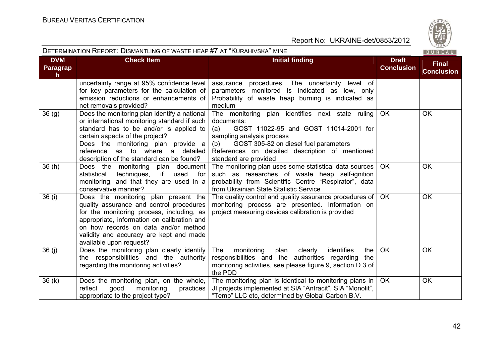

| DETERMINATION REPORT: DISMANTLING OF WASTE HEAP #7 AT "KURAHIVSKA" MINE |  |  |
|-------------------------------------------------------------------------|--|--|
|                                                                         |  |  |

| <b>DVM</b>                      | <b>Check Item</b>                                                                                                                                                                                                                                                                                    | <b>Initial finding</b>                                                                                                                                                                                                                                                  | <b>Draft</b>      | <b>Final</b>      |
|---------------------------------|------------------------------------------------------------------------------------------------------------------------------------------------------------------------------------------------------------------------------------------------------------------------------------------------------|-------------------------------------------------------------------------------------------------------------------------------------------------------------------------------------------------------------------------------------------------------------------------|-------------------|-------------------|
| <b>Paragrap</b><br>$\mathsf{h}$ |                                                                                                                                                                                                                                                                                                      |                                                                                                                                                                                                                                                                         | <b>Conclusion</b> | <b>Conclusion</b> |
|                                 | uncertainty range at 95% confidence level<br>for key parameters for the calculation of<br>emission reductions or enhancements of<br>net removals provided?                                                                                                                                           | assurance procedures. The uncertainty level of<br>parameters monitored is indicated as low, only<br>Probability of waste heap burning is indicated as<br>medium                                                                                                         |                   |                   |
| 36(9)                           | Does the monitoring plan identify a national<br>or international monitoring standard if such<br>standard has to be and/or is applied to<br>certain aspects of the project?<br>Does the monitoring plan provide a<br>as to where a detailed<br>reference<br>description of the standard can be found? | The monitoring plan identifies next state ruling<br>documents:<br>GOST 11022-95 and GOST 11014-2001 for<br>(a)<br>sampling analysis process<br>GOST 305-82 on diesel fuel parameters<br>(b)<br>References on detailed description of mentioned<br>standard are provided | <b>OK</b>         | OK                |
| 36(h)                           | Does the monitoring plan document<br>techniques,<br>if<br>statistical<br>used<br>for<br>monitoring, and that they are used in a<br>conservative manner?                                                                                                                                              | The monitoring plan uses some statistical data sources<br>such as researches of waste heap self-ignition<br>probability from Scientific Centre "Respirator", data<br>from Ukrainian State Statistic Service                                                             | <b>OK</b>         | <b>OK</b>         |
| 36 (i)                          | Does the monitoring plan present the<br>quality assurance and control procedures<br>for the monitoring process, including, as<br>appropriate, information on calibration and<br>on how records on data and/or method<br>validity and accuracy are kept and made<br>available upon request?           | The quality control and quality assurance procedures of $\vert$ OK<br>monitoring process are presented. Information on<br>project measuring devices calibration is provided                                                                                             |                   | <b>OK</b>         |
| 36(j)                           | Does the monitoring plan clearly identify<br>the responsibilities and the authority<br>regarding the monitoring activities?                                                                                                                                                                          | identifies<br><b>The</b><br>monitoring<br>plan<br>clearly<br>the<br>responsibilities and the authorities regarding<br>the<br>monitoring activities, see please figure 9, section D.3 of<br>the PDD                                                                      | <b>OK</b>         | <b>OK</b>         |
| 36(k)                           | Does the monitoring plan, on the whole,<br>reflect<br>good<br>monitoring<br>practices<br>appropriate to the project type?                                                                                                                                                                            | The monitoring plan is identical to monitoring plans in<br>JI projects implemented at SIA "Antracit", SIA "Monolit",<br>"Temp" LLC etc, determined by Global Carbon B.V.                                                                                                | <b>OK</b>         | OK                |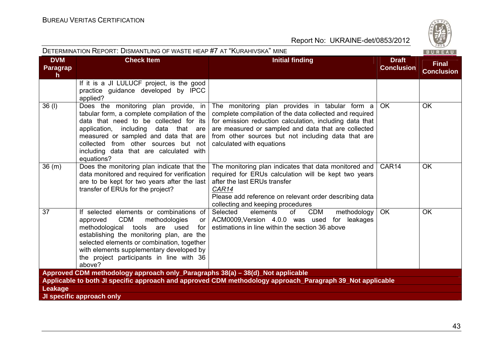

| <b>DETERMINATION REPORT: DISMANTLING OF WASTE HEAP #7 AT "KURAHIVSKA" MINE</b> |                                                                                                                                                                                                                                                                                                                                    |                                                                                                                                                                                                                                                                                                                |                                   |                                   |  |
|--------------------------------------------------------------------------------|------------------------------------------------------------------------------------------------------------------------------------------------------------------------------------------------------------------------------------------------------------------------------------------------------------------------------------|----------------------------------------------------------------------------------------------------------------------------------------------------------------------------------------------------------------------------------------------------------------------------------------------------------------|-----------------------------------|-----------------------------------|--|
| <b>DVM</b><br>Paragrap<br>$\mathsf{h}$                                         | <b>Check Item</b>                                                                                                                                                                                                                                                                                                                  | <b>Initial finding</b>                                                                                                                                                                                                                                                                                         | <b>Draft</b><br><b>Conclusion</b> | <b>Final</b><br><b>Conclusion</b> |  |
|                                                                                | If it is a JI LULUCF project, is the good<br>practice guidance developed by IPCC<br>applied?                                                                                                                                                                                                                                       |                                                                                                                                                                                                                                                                                                                |                                   |                                   |  |
| 36 (I)                                                                         | Does the monitoring plan provide, in<br>tabular form, a complete compilation of the<br>data that need to be collected for its<br>application, including<br>data that are<br>measured or sampled and data that are<br>collected from other sources but not<br>including data that are calculated with<br>equations?                 | The monitoring plan provides in tabular form a<br>complete compilation of the data collected and required<br>for emission reduction calculation, including data that<br>are measured or sampled and data that are collected<br>from other sources but not including data that are<br>calculated with equations | <b>OK</b>                         | <b>OK</b>                         |  |
| 36(m)                                                                          | Does the monitoring plan indicate that the<br>data monitored and required for verification<br>are to be kept for two years after the last<br>transfer of ERUs for the project?                                                                                                                                                     | The monitoring plan indicates that data monitored and<br>required for ERUs calculation will be kept two years<br>after the last ERUs transfer<br>CAR14<br>Please add reference on relevant order describing data<br>collecting and keeping procedures                                                          | CAR <sub>14</sub>                 | <b>OK</b>                         |  |
| 37                                                                             | If selected elements or combinations of<br><b>CDM</b><br>approved<br>methodologies<br>or l<br>methodological<br>tools are used<br>for<br>establishing the monitoring plan, are the<br>selected elements or combination, together<br>with elements supplementary developed by<br>the project participants in line with 36<br>above? | Selected<br><b>CDM</b><br>elements<br>of<br>methodology<br>ACM0009. Version 4.0.0 was used<br>for leakages<br>estimations in line within the section 36 above                                                                                                                                                  | <b>OK</b>                         | <b>OK</b>                         |  |
|                                                                                | Approved CDM methodology approach only_Paragraphs 38(a) - 38(d)_Not applicable                                                                                                                                                                                                                                                     |                                                                                                                                                                                                                                                                                                                |                                   |                                   |  |
|                                                                                |                                                                                                                                                                                                                                                                                                                                    | Applicable to both JI specific approach and approved CDM methodology approach_Paragraph 39_Not applicable                                                                                                                                                                                                      |                                   |                                   |  |
| Leakage                                                                        |                                                                                                                                                                                                                                                                                                                                    |                                                                                                                                                                                                                                                                                                                |                                   |                                   |  |
|                                                                                | JI specific approach only                                                                                                                                                                                                                                                                                                          |                                                                                                                                                                                                                                                                                                                |                                   |                                   |  |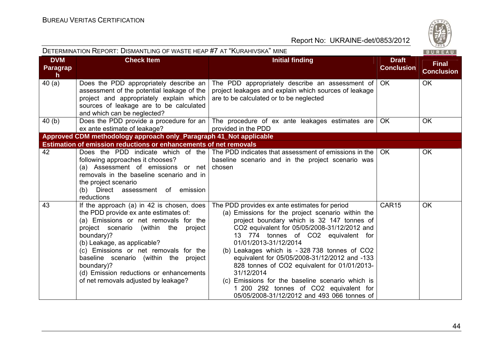

| DETERMINATION REPORT: DISMANTLING OF WASTE HEAP #7 AT "KURAHIVSKA" MINE<br>BUREAU |                                                                                                                                                                                                                                                                                                                                                                                                     |                                                                                                                                                                                                                                                                                                                                                                                                                                                                                                                                                                             |                                   |                                   |
|-----------------------------------------------------------------------------------|-----------------------------------------------------------------------------------------------------------------------------------------------------------------------------------------------------------------------------------------------------------------------------------------------------------------------------------------------------------------------------------------------------|-----------------------------------------------------------------------------------------------------------------------------------------------------------------------------------------------------------------------------------------------------------------------------------------------------------------------------------------------------------------------------------------------------------------------------------------------------------------------------------------------------------------------------------------------------------------------------|-----------------------------------|-----------------------------------|
| <b>DVM</b><br><b>Paragrap</b><br>$\mathsf{h}$                                     | <b>Check Item</b>                                                                                                                                                                                                                                                                                                                                                                                   | <b>Initial finding</b>                                                                                                                                                                                                                                                                                                                                                                                                                                                                                                                                                      | <b>Draft</b><br><b>Conclusion</b> | <b>Final</b><br><b>Conclusion</b> |
| 40(a)                                                                             | Does the PDD appropriately describe an<br>assessment of the potential leakage of the<br>project and appropriately explain which<br>sources of leakage are to be calculated<br>and which can be neglected?                                                                                                                                                                                           | The PDD appropriately describe an assessment of $\overline{\phantom{a}}$ OK<br>project leakages and explain which sources of leakage<br>are to be calculated or to be neglected                                                                                                                                                                                                                                                                                                                                                                                             |                                   | <b>OK</b>                         |
| 40(b)                                                                             | ex ante estimate of leakage?                                                                                                                                                                                                                                                                                                                                                                        | Does the PDD provide a procedure for an The procedure of ex ante leakages estimates are<br>provided in the PDD                                                                                                                                                                                                                                                                                                                                                                                                                                                              | OK                                | <b>OK</b>                         |
|                                                                                   | Approved CDM methodology approach only_Paragraph 41_Not applicable                                                                                                                                                                                                                                                                                                                                  |                                                                                                                                                                                                                                                                                                                                                                                                                                                                                                                                                                             |                                   |                                   |
|                                                                                   | <b>Estimation of emission reductions or enhancements of net removals</b>                                                                                                                                                                                                                                                                                                                            |                                                                                                                                                                                                                                                                                                                                                                                                                                                                                                                                                                             |                                   |                                   |
| 42                                                                                | Does the PDD indicate which of the<br>following approaches it chooses?<br>(a) Assessment of emissions or net<br>removals in the baseline scenario and in<br>the project scenario<br>(b) Direct assessment of emission<br>reductions                                                                                                                                                                 | The PDD indicates that assessment of emissions in the<br>baseline scenario and in the project scenario was<br>chosen                                                                                                                                                                                                                                                                                                                                                                                                                                                        | OK.                               | <b>OK</b>                         |
| 43                                                                                | If the approach (a) in 42 is chosen, does<br>the PDD provide ex ante estimates of:<br>(a) Emissions or net removals for the<br>project scenario (within the project<br>boundary)?<br>(b) Leakage, as applicable?<br>(c) Emissions or net removals for the<br>baseline scenario (within the project<br>boundary)?<br>(d) Emission reductions or enhancements<br>of net removals adjusted by leakage? | The PDD provides ex ante estimates for period<br>(a) Emissions for the project scenario within the<br>project boundary which is 32 147 tonnes of<br>CO2 equivalent for 05/05/2008-31/12/2012 and<br>13 774 tonnes of CO2 equivalent for<br>01/01/2013-31/12/2014<br>(b) Leakages which is -328738 tonnes of CO2<br>equivalent for 05/05/2008-31/12/2012 and -133<br>828 tonnes of CO2 equivalent for 01/01/2013-<br>31/12/2014<br>(c) Emissions for the baseline scenario which is<br>1 200 292 tonnes of CO2 equivalent for<br>05/05/2008-31/12/2012 and 493 066 tonnes of | CAR15                             | <b>OK</b>                         |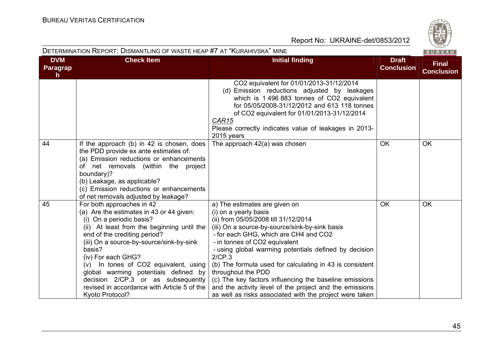| DETERMINATION REPORT: DISMANTLING OF WASTE HEAP #7 AT "KURAHIVSKA" MINE |                                                                                                                                                                                                                                                                                                                                                                                                                                                      |                                                                                                                                                                                                                                                                                                                                                                                                                                                                                                                                                                 |                                   |                                   |  |
|-------------------------------------------------------------------------|------------------------------------------------------------------------------------------------------------------------------------------------------------------------------------------------------------------------------------------------------------------------------------------------------------------------------------------------------------------------------------------------------------------------------------------------------|-----------------------------------------------------------------------------------------------------------------------------------------------------------------------------------------------------------------------------------------------------------------------------------------------------------------------------------------------------------------------------------------------------------------------------------------------------------------------------------------------------------------------------------------------------------------|-----------------------------------|-----------------------------------|--|
| <b>DVM</b><br><b>Paragrap</b><br>h.                                     | <b>Check Item</b>                                                                                                                                                                                                                                                                                                                                                                                                                                    | <b>Initial finding</b>                                                                                                                                                                                                                                                                                                                                                                                                                                                                                                                                          | <b>Draft</b><br><b>Conclusion</b> | <b>Final</b><br><b>Conclusion</b> |  |
|                                                                         |                                                                                                                                                                                                                                                                                                                                                                                                                                                      | CO2 equivalent for 01/01/2013-31/12/2014<br>(d) Emission reductions adjusted by leakages<br>which is 1 496 883 tonnes of CO2 equivalent<br>for 05/05/2008-31/12/2012 and 613 118 tonnes<br>of CO2 equivalent for 01/01/2013-31/12/2014<br>CAR15<br>Please correctly indicates value of leakages in 2013-<br>2015 years                                                                                                                                                                                                                                          |                                   |                                   |  |
| 44                                                                      | If the approach (b) in 42 is chosen, does<br>the PDD provide ex ante estimates of:<br>(a) Emission reductions or enhancements<br>of net removals (within the project<br>boundary)?<br>(b) Leakage, as applicable?<br>(c) Emission reductions or enhancements<br>of net removals adjusted by leakage?                                                                                                                                                 | The approach 42(a) was chosen                                                                                                                                                                                                                                                                                                                                                                                                                                                                                                                                   | <b>OK</b>                         | OK                                |  |
| 45                                                                      | For both approaches in 42<br>(a) Are the estimates in 43 or 44 given:<br>(i) On a periodic basis?<br>(ii) At least from the beginning until the<br>end of the crediting period?<br>(iii) On a source-by-source/sink-by-sink<br>basis?<br>(iv) For each GHG?<br>(v) In tones of CO2 equivalent, using<br>global warming potentials defined by<br>decision 2/CP.3 or as subsequently<br>revised in accordance with Article 5 of the<br>Kyoto Protocol? | a) The estimates are given on<br>(i) on a yearly basis<br>(ii) from 05/05/2008 till 31/12/2014<br>(iii) On a source-by-source/sink-by-sink basis<br>- for each GHG, which are CH4 and CO2<br>- in tonnes of CO2 equivalent<br>- using global warming potentials defined by decision<br>2/CP.3<br>(b) The formula used for calculating in 43 is consistent<br>throughout the PDD<br>(c) The key factors influencing the baseline emissions<br>and the activity level of the project and the emissions<br>as well as risks associated with the project were taken | OK                                | OK                                |  |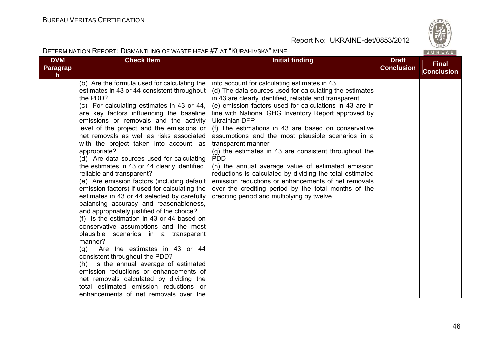

| DETERMINATION REPORT: DISMANTLING OF WASTE HEAP #7 AT "KURAHIVSKA" MINE<br><b>BUREAU</b> |                                                                                                                                                                                                                                                                                                                                                                                                                                                                                                                                                                                                                                                                                                                                                                                                                                                                                                                                                                                                                                                                                                                                                                                                         |                                                                                                                                                                                                                                                                                                                                                                                                                                                                                                                                                                                                                                                                                                                                                                                                       |                                   |                                   |
|------------------------------------------------------------------------------------------|---------------------------------------------------------------------------------------------------------------------------------------------------------------------------------------------------------------------------------------------------------------------------------------------------------------------------------------------------------------------------------------------------------------------------------------------------------------------------------------------------------------------------------------------------------------------------------------------------------------------------------------------------------------------------------------------------------------------------------------------------------------------------------------------------------------------------------------------------------------------------------------------------------------------------------------------------------------------------------------------------------------------------------------------------------------------------------------------------------------------------------------------------------------------------------------------------------|-------------------------------------------------------------------------------------------------------------------------------------------------------------------------------------------------------------------------------------------------------------------------------------------------------------------------------------------------------------------------------------------------------------------------------------------------------------------------------------------------------------------------------------------------------------------------------------------------------------------------------------------------------------------------------------------------------------------------------------------------------------------------------------------------------|-----------------------------------|-----------------------------------|
| <b>DVM</b><br><b>Paragrap</b><br>$\mathsf{h}$                                            | <b>Check Item</b>                                                                                                                                                                                                                                                                                                                                                                                                                                                                                                                                                                                                                                                                                                                                                                                                                                                                                                                                                                                                                                                                                                                                                                                       | <b>Initial finding</b>                                                                                                                                                                                                                                                                                                                                                                                                                                                                                                                                                                                                                                                                                                                                                                                | <b>Draft</b><br><b>Conclusion</b> | <b>Final</b><br><b>Conclusion</b> |
|                                                                                          | (b) Are the formula used for calculating the<br>estimates in 43 or 44 consistent throughout<br>the PDD?<br>(c) For calculating estimates in 43 or 44,<br>are key factors influencing the baseline<br>emissions or removals and the activity<br>level of the project and the emissions or<br>net removals as well as risks associated<br>with the project taken into account, as<br>appropriate?<br>(d) Are data sources used for calculating<br>the estimates in 43 or 44 clearly identified,<br>reliable and transparent?<br>(e) Are emission factors (including default<br>emission factors) if used for calculating the<br>estimates in 43 or 44 selected by carefully<br>balancing accuracy and reasonableness,<br>and appropriately justified of the choice?<br>(f) Is the estimation in 43 or 44 based on<br>conservative assumptions and the most<br>plausible scenarios in a transparent<br>manner?<br>Are the estimates in 43 or 44<br>(g)<br>consistent throughout the PDD?<br>(h) Is the annual average of estimated<br>emission reductions or enhancements of<br>net removals calculated by dividing the<br>total estimated emission reductions or<br>enhancements of net removals over the | into account for calculating estimates in 43<br>(d) The data sources used for calculating the estimates<br>in 43 are clearly identified, reliable and transparent.<br>(e) emission factors used for calculations in 43 are in<br>line with National GHG Inventory Report approved by<br><b>Ukrainian DFP</b><br>(f) The estimations in 43 are based on conservative<br>assumptions and the most plausible scenarios in a<br>transparent manner<br>(g) the estimates in 43 are consistent throughout the<br><b>PDD</b><br>(h) the annual average value of estimated emission<br>reductions is calculated by dividing the total estimated<br>emission reductions or enhancements of net removals<br>over the crediting period by the total months of the<br>crediting period and multiplying by twelve. |                                   |                                   |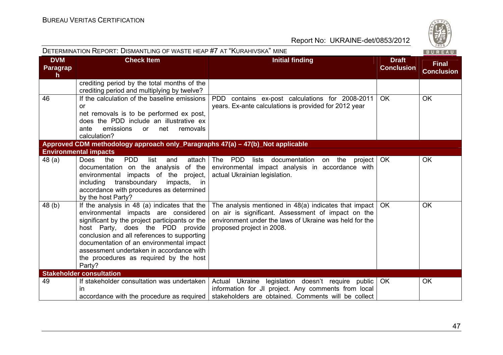| DETERMINATION REPORT: DISMANTLING OF WASTE HEAP #7 AT "KURAHIVSKA" MINE<br>BUREAU |                                                                                                                                                                                                                                                                                                                                                                       |                                                                                                                                                                                                             |                                   |                                   |  |
|-----------------------------------------------------------------------------------|-----------------------------------------------------------------------------------------------------------------------------------------------------------------------------------------------------------------------------------------------------------------------------------------------------------------------------------------------------------------------|-------------------------------------------------------------------------------------------------------------------------------------------------------------------------------------------------------------|-----------------------------------|-----------------------------------|--|
| <b>DVM</b><br>Paragrap<br>$\mathsf{h}$                                            | <b>Check Item</b>                                                                                                                                                                                                                                                                                                                                                     | <b>Initial finding</b>                                                                                                                                                                                      | <b>Draft</b><br><b>Conclusion</b> | <b>Final</b><br><b>Conclusion</b> |  |
|                                                                                   | crediting period by the total months of the<br>crediting period and multiplying by twelve?                                                                                                                                                                                                                                                                            |                                                                                                                                                                                                             |                                   |                                   |  |
| 46                                                                                | If the calculation of the baseline emissions<br>or<br>net removals is to be performed ex post,<br>does the PDD include an illustrative ex<br>emissions<br>net<br>removals<br>ante<br>or<br>calculation?                                                                                                                                                               | PDD contains ex-post calculations for 2008-2011<br>years. Ex-ante calculations is provided for 2012 year                                                                                                    | <b>OK</b>                         | OK                                |  |
|                                                                                   | Approved CDM methodology approach only_Paragraphs 47(a) - 47(b)_Not applicable<br><b>Environmental impacts</b>                                                                                                                                                                                                                                                        |                                                                                                                                                                                                             |                                   |                                   |  |
| 48(a)                                                                             | <b>PDD</b><br><b>Does</b><br>the<br>list<br>attach<br>and<br>documentation on the analysis<br>of the<br>environmental impacts of the project,<br>transboundary<br>including<br>impacts, in<br>accordance with procedures as determined<br>by the host Party?                                                                                                          | The PDD<br>documentation<br>lists<br>on the<br>project  <br>environmental impact analysis in accordance with<br>actual Ukrainian legislation.                                                               | OK.                               | OK                                |  |
| 48(b)                                                                             | If the analysis in 48 (a) indicates that the<br>environmental impacts are considered<br>significant by the project participants or the<br>host Party, does the PDD provide<br>conclusion and all references to supporting<br>documentation of an environmental impact<br>assessment undertaken in accordance with<br>the procedures as required by the host<br>Party? | The analysis mentioned in 48(a) indicates that impact<br>on air is significant. Assessment of impact on the<br>environment under the laws of Ukraine was held for the<br>proposed project in 2008.          | <b>OK</b>                         | OK                                |  |
|                                                                                   | <b>Stakeholder consultation</b>                                                                                                                                                                                                                                                                                                                                       |                                                                                                                                                                                                             |                                   |                                   |  |
| 49                                                                                | If stakeholder consultation was undertaken<br>in                                                                                                                                                                                                                                                                                                                      | Actual Ukraine legislation doesn't require public<br>information for JI project. Any comments from local<br>accordance with the procedure as required   stakeholders are obtained. Comments will be collect | OK                                | OK                                |  |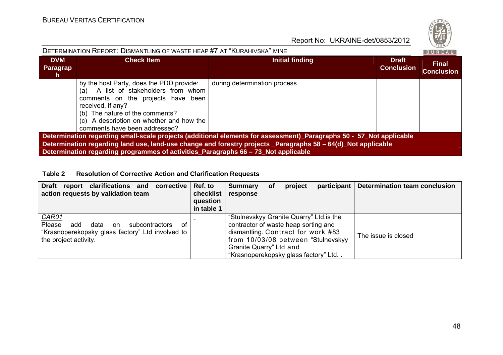

| DETERMINATION REPORT: DISMANTLING OF WASTE HEAP #7 AT "KURAHIVSKA" MINE                                             |                                                                                                                                                                                                                                                             |                                                                                                               |                                   |                                   |  |
|---------------------------------------------------------------------------------------------------------------------|-------------------------------------------------------------------------------------------------------------------------------------------------------------------------------------------------------------------------------------------------------------|---------------------------------------------------------------------------------------------------------------|-----------------------------------|-----------------------------------|--|
| <b>DVM</b><br>Paragrap<br>n.                                                                                        | <b>Check Item</b>                                                                                                                                                                                                                                           | Initial finding                                                                                               | <b>Draft</b><br><b>Conclusion</b> | <b>Final</b><br><b>Conclusion</b> |  |
|                                                                                                                     | by the host Party, does the PDD provide:<br>(a) A list of stakeholders from whom<br>comments on the projects have been<br>received, if any?<br>(b) The nature of the comments?<br>(c) A description on whether and how the<br>comments have been addressed? | during determination process                                                                                  |                                   |                                   |  |
| Determination regarding small-scale projects (additional elements for assessment)_Paragraphs 50 - 57_Not applicable |                                                                                                                                                                                                                                                             |                                                                                                               |                                   |                                   |  |
|                                                                                                                     |                                                                                                                                                                                                                                                             | Determination regarding land use, land-use change and forestry projects _Paragraphs 58 - 64(d)_Not applicable |                                   |                                   |  |
|                                                                                                                     | Determination regarding programmes of activities_Paragraphs 66 - 73 Not applicable                                                                                                                                                                          |                                                                                                               |                                   |                                   |  |

#### **Table 2 Resolution of Corrective Action and Clarification Requests**

| report clarifications and corrective<br><b>Draft</b><br>action requests by validation team                                                       | Ref. to<br>checklist<br>question<br>in table 1 | <b>Summary</b><br>response                                                                                                                                                                                                       | <b>of</b> | project | participant   Determination team conclusion |
|--------------------------------------------------------------------------------------------------------------------------------------------------|------------------------------------------------|----------------------------------------------------------------------------------------------------------------------------------------------------------------------------------------------------------------------------------|-----------|---------|---------------------------------------------|
| <b>CAR01</b><br>Please<br>add<br>data<br>subcontractors<br>on<br>∩t<br>"Krasnoperekopsky glass factory" Ltd involved to<br>the project activity. |                                                | "Stulnevskyy Granite Quarry" Ltd. is the<br>contractor of waste heap sorting and<br>dismantling. Contract for work #83<br>from 10/03/08 between "Stulnevskyy"<br>Granite Quarry" Ltd and<br>"Krasnoperekopsky glass factory" Ltd |           |         | The issue is closed                         |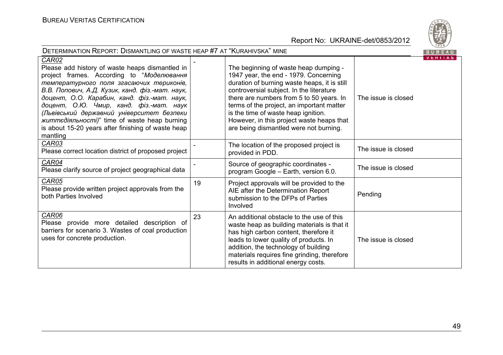

| <b>DETERMINATION REPORT: DISMANTLING OF WASTE HEAP #7 AT "KURAHIVSKA" MINE</b>                                                                                                                                                                                                                                                                                                                                                                                               |    |                                                                                                                                                                                                                                                                                                                                                                                                   |                     |                |  |
|------------------------------------------------------------------------------------------------------------------------------------------------------------------------------------------------------------------------------------------------------------------------------------------------------------------------------------------------------------------------------------------------------------------------------------------------------------------------------|----|---------------------------------------------------------------------------------------------------------------------------------------------------------------------------------------------------------------------------------------------------------------------------------------------------------------------------------------------------------------------------------------------------|---------------------|----------------|--|
| <b>CAR02</b><br>Please add history of waste heaps dismantled in<br>project frames. According to "Моделювання<br>температурного поля згасаючих териконів,<br>В.В. Попович, А.Д. Кузик, канд. фіз.-мат. наук,<br>доцент, О.О. Карабин, канд. фіз.-мат. наук,<br>доцент, О.Ю. Чмир, канд. фіз.-мат. наук<br>(Львівський державний університет безпеки<br><i>життедіяльності)</i> " time of waste heap burning<br>is about 15-20 years after finishing of waste heap<br>mantling |    | The beginning of waste heap dumping -<br>1947 year, the end - 1979. Concerning<br>duration of burning waste heaps, it is still<br>controversial subject. In the literature<br>there are numbers from 5 to 50 years. In<br>terms of the project, an important matter<br>is the time of waste heap ignition.<br>However, in this project waste heaps that<br>are being dismantled were not burning. | The issue is closed | <b>VERITAS</b> |  |
| CAR03<br>Please correct location district of proposed project                                                                                                                                                                                                                                                                                                                                                                                                                |    | The location of the proposed project is<br>provided in PDD.                                                                                                                                                                                                                                                                                                                                       | The issue is closed |                |  |
| CAR04<br>Please clarify source of project geographical data                                                                                                                                                                                                                                                                                                                                                                                                                  |    | Source of geographic coordinates -<br>program Google - Earth, version 6.0.                                                                                                                                                                                                                                                                                                                        | The issue is closed |                |  |
| CAR05<br>Please provide written project approvals from the<br>both Parties Involved                                                                                                                                                                                                                                                                                                                                                                                          | 19 | Project approvals will be provided to the<br>AIE after the Determination Report<br>submission to the DFPs of Parties<br>Involved                                                                                                                                                                                                                                                                  | Pending             |                |  |
| CAR06<br>Please provide more detailed description of<br>barriers for scenario 3. Wastes of coal production<br>uses for concrete production.                                                                                                                                                                                                                                                                                                                                  | 23 | An additional obstacle to the use of this<br>waste heap as building materials is that it<br>has high carbon content, therefore it<br>leads to lower quality of products. In<br>addition, the technology of building<br>materials requires fine grinding, therefore<br>results in additional energy costs.                                                                                         | The issue is closed |                |  |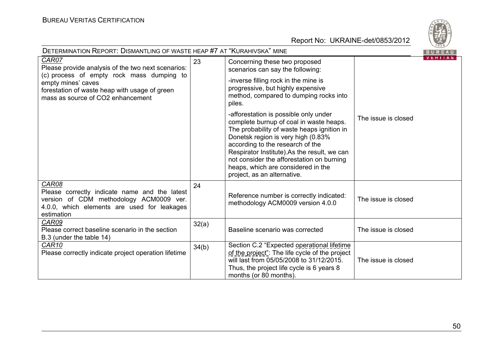

| <b>DETERMINATION REPORT: DISMANTLING OF WASTE HEAP #7 AT "KURAHIVSKA" MINE</b><br>BUREAU                                                                                                                             |       |                                                                                                                                                                                                                                                                                                                                                                           |                     |         |  |
|----------------------------------------------------------------------------------------------------------------------------------------------------------------------------------------------------------------------|-------|---------------------------------------------------------------------------------------------------------------------------------------------------------------------------------------------------------------------------------------------------------------------------------------------------------------------------------------------------------------------------|---------------------|---------|--|
| CAR07<br>Please provide analysis of the two next scenarios:<br>(c) process of empty rock mass dumping to<br>empty mines' caves<br>forestation of waste heap with usage of green<br>mass as source of CO2 enhancement | 23    | Concerning these two proposed<br>scenarios can say the following:<br>-inverse filling rock in the mine is                                                                                                                                                                                                                                                                 |                     | VERIIAS |  |
|                                                                                                                                                                                                                      |       | progressive, but highly expensive<br>method, compared to dumping rocks into<br>piles.                                                                                                                                                                                                                                                                                     |                     |         |  |
|                                                                                                                                                                                                                      |       | -afforestation is possible only under<br>complete burnup of coal in waste heaps.<br>The probability of waste heaps ignition in<br>Donetsk region is very high (0.83%<br>according to the research of the<br>Respirator Institute).As the result, we can<br>not consider the afforestation on burning<br>heaps, which are considered in the<br>project, as an alternative. | The issue is closed |         |  |
| CAR08<br>Please correctly indicate name and the latest<br>version of CDM methodology ACM0009 ver.<br>4.0.0, which elements are used for leakages<br>estimation                                                       | 24    | Reference number is correctly indicated:<br>methodology ACM0009 version 4.0.0                                                                                                                                                                                                                                                                                             | The issue is closed |         |  |
| CAR09<br>Please correct baseline scenario in the section<br>B.3 (under the table 14)                                                                                                                                 | 32(a) | Baseline scenario was corrected                                                                                                                                                                                                                                                                                                                                           | The issue is closed |         |  |
| CAR10<br>Please correctly indicate project operation lifetime                                                                                                                                                        | 34(b) | Section C.2 "Expected operational lifetime<br>of the project": The life cycle of the project<br>will last from 05/05/2008 to 31/12/2015.<br>Thus, the project life cycle is 6 years 8<br>months (or 80 months).                                                                                                                                                           | The issue is closed |         |  |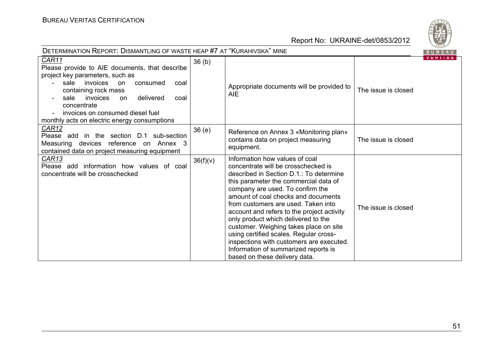

| <b>DETERMINATION REPORT: DISMANTLING OF WASTE HEAP #7 AT "KURAHIVSKA" MINE</b>                                                                                                                                                                                                                               |                   |                                                                                                                                                                                                                                                                                                                                                                                                                                                                                                                                                                           |                     |         |
|--------------------------------------------------------------------------------------------------------------------------------------------------------------------------------------------------------------------------------------------------------------------------------------------------------------|-------------------|---------------------------------------------------------------------------------------------------------------------------------------------------------------------------------------------------------------------------------------------------------------------------------------------------------------------------------------------------------------------------------------------------------------------------------------------------------------------------------------------------------------------------------------------------------------------------|---------------------|---------|
| CAR11<br>Please provide to AIE documents, that describe<br>project key parameters, such as<br>sale invoices on<br>consumed<br>coal<br>containing rock mass<br>delivered<br>sale<br>invoices<br>on<br>coal<br>concentrate<br>invoices on consumed diesel fuel<br>monthly acts on electric energy consumptions | 36 <sub>(b)</sub> | Appropriate documents will be provided to<br><b>AIE</b>                                                                                                                                                                                                                                                                                                                                                                                                                                                                                                                   | The issue is closed | VERIIAS |
| <b>CAR12</b><br>Please add in the section D.1 sub-section<br>Measuring devices reference on Annex 3<br>contained data on project measuring equipment                                                                                                                                                         | 36(e)             | Reference on Annex 3 «Monitoring plan»<br>contains data on project measuring<br>equipment.                                                                                                                                                                                                                                                                                                                                                                                                                                                                                | The issue is closed |         |
| <u>CAR13</u><br>Please add information how values of coal<br>concentrate will be crosschecked                                                                                                                                                                                                                | 36(f)(v)          | Information how values of coal<br>concentrate will be crosschecked is<br>described in Section D.1.: To determine<br>this parameter the commercial data of<br>company are used. To confirm the<br>amount of coal checks and documents<br>from customers are used. Taken into<br>account and refers to the project activity<br>only product which delivered to the<br>customer. Weighing takes place on site<br>using certified scales. Regular cross-<br>inspections with customers are executed.<br>Information of summarized reports is<br>based on these delivery data. | The issue is closed |         |